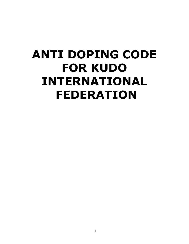# **ANTI DOPING CODE FOR KUDO INTERNATIONAL FEDERATION**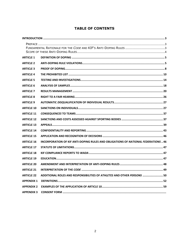# **TABLE OF CONTENTS**

| <b>ARTICLE 1</b>  |                                                                                    |
|-------------------|------------------------------------------------------------------------------------|
| <b>ARTICLE 2</b>  |                                                                                    |
| <b>ARTICLE 3</b>  |                                                                                    |
| <b>ARTICLE 4</b>  |                                                                                    |
| <b>ARTICLE 5</b>  |                                                                                    |
| <b>ARTICLE 6</b>  |                                                                                    |
| <b>ARTICLE 7</b>  |                                                                                    |
| <b>ARTICLE 8</b>  |                                                                                    |
| <b>ARTICLE 9</b>  |                                                                                    |
| <b>ARTICLE 10</b> |                                                                                    |
| <b>ARTICLE 11</b> |                                                                                    |
| <b>ARTICLE 12</b> |                                                                                    |
| <b>ARTICLE 13</b> |                                                                                    |
| <b>ARTICLE 14</b> |                                                                                    |
| <b>ARTICLE 15</b> |                                                                                    |
| <b>ARTICLE 16</b> | INCORPORATION OF KIF ANTI-DOPING RULES AND OBLIGATIONS OF NATIONAL FEDERATIONS  46 |
| <b>ARTICLE 17</b> |                                                                                    |
| <b>ARTICLE 18</b> |                                                                                    |
| <b>ARTICLE 19</b> |                                                                                    |
| <b>ARTICLE 20</b> |                                                                                    |
| <b>ARTICLE 21</b> |                                                                                    |
| <b>ARTICLE 22</b> | ADDITIONAL ROLES AND RESPONSIBILITIES OF ATHLETES AND OTHER PERSONS  50            |
| <b>APPENDIX 1</b> |                                                                                    |
| <b>APPENDIX 2</b> |                                                                                    |
| <b>APPENDIX 3</b> |                                                                                    |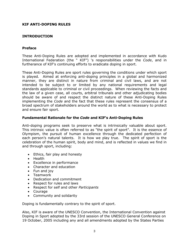# **KIF ANTI-DOPING RULES**

# <span id="page-2-0"></span>**INTRODUCTION**

## <span id="page-2-1"></span>**Preface**

These Anti-Doping Rules are adopted and implemented in accordance with Kudo International Federation (the " KIF") 's responsibilities under the *Code*, and in furtherance of KIF's continuing efforts to eradicate doping in sport.

These Anti-Doping Rules are sport rules governing the conditions under which sport is played.Aimed at enforcing anti-doping principles in a global and harmonized manner, they are distinct in nature from criminal and civil laws, and are not intended to be subject to or limited by any national requirements and legal standards applicable to criminal or civil proceedings. When reviewing the facts and the law of a given case, all courts, arbitral tribunals and other adjudicating bodies should be aware of and respect the distinct nature of these Anti-Doping Rules implementing the *Code* and the fact that these rules represent the consensus of a broad spectrum of stakeholders around the world as to what is necessary to protect and ensure fair sport.

## <span id="page-2-2"></span>**Fundamental Rationale for the** *Code* **and KIF's Anti-Doping Rules**

Anti-doping programs seek to preserve what is intrinsically valuable about sport. This intrinsic value is often referred to as "the spirit of sport". It is the essence of Olympism, the pursuit of human excellence through the dedicated perfection of each person's natural talents. It is how we play true. The spirit of sport is the celebration of the human spirit, body and mind, and is reflected in values we find in and through sport, including:

- Ethics, fair play and honesty
- Health
- Excellence in performance
- Character and education
- Fun and joy
- Teamwork
- Dedication and commitment
- Respect for rules and laws
- Respect for self and other *Participants*
- Courage
- Community and solidarity

Doping is fundamentally contrary to the spirit of sport.

Also, KIF is aware of the UNESCO Convention, the International Convention against Doping in Sport adopted by the 33rd session of the UNESCO General Conference on 19 October, 2005 including any and all amendments adopted by the States Parties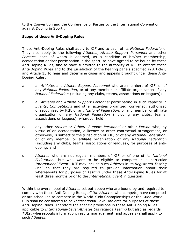to the Convention and the Conference of Parties to the International Convention against Doping in Sport .

## <span id="page-3-0"></span>**Scope of these Anti-Doping Rules**

These Anti-Doping Rules shall apply to KIF and to each of its *National Federations.*  They also apply to the following *Athletes*, *Athlete Support Personnel* and other *Persons*, each of whom is deemed, as a condition of his/her membership, accreditation and/or participation in the sport, to have agreed to be bound by these Anti-Doping Rules, and to have submitted to the authority of KIF to enforce these Anti-Doping Rules and to the jurisdiction of the hearing panels specified in Article 8 and Article 13 to hear and determine cases and appeals brought under these Anti-Doping Rules:

- a. all *Athletes* and *Athlete Support Personnel* who are members of KIF, or of any *National Federation*, or of any member or affiliate organization of any *National Federation* (including any clubs, teams, associations or leagues);
- b. all *Athletes* and *Athlete Support Personnel* participating in such capacity in *Events*, *Competitions* and other activities organized, convened, authorized or recognized by KIF, or any *National Federation*, or any member or affiliate organization of any *National Federation* (including any clubs, teams, associations or leagues), wherever held;
- c. any other *Athlete* or *Athlete Support Personnel* or other *Person* who, by virtue of an accreditation, a licence or other contractual arrangement, or otherwise, is subject to the jurisdiction of KIF, or of any *National Federation*, or of any member or affiliate organization of any *National Federation*  (including any clubs, teams, associations or leagues), for purposes of antidoping; and
- d. *Athletes* who are not regular members of KIF or of one of its *National Federations* but who want to be eligible to compete in a particular *International Event*. KIF may include such *Athletes* in its *Registered Testing Pool* so that they are required to provide information about their whereabouts for purposes of *Testing* under these Anti-Doping Rules for at least three months prior to the *International Event* in question.

Within the overall pool of *Athletes* set out above who are bound by and required to comply with these Anti-Doping Rules, *all the Athletes* who compete, have competed or are scheduled to compete in the World Kudo Championships or the Kudo World Cup shall be considered to be *International-Level Athletes* for purposes of these Anti-Doping Rules. Therefore the specific provisions in these Anti-Doping Rules applicable to *International-Level Athletes* (as regards *Testing* but also as regards *TUEs*, whereabouts information, results management, and appeals) shall apply to such *Athletes*.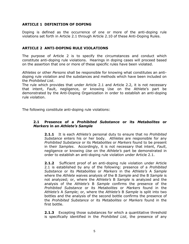# <span id="page-4-0"></span>**ARTICLE 1 DEFINITION OF DOPING**

Doping is defined as the occurrence of one or more of the anti-doping rule violations set forth in Article 2.1 through Article 2.10 of these Anti-Doping Rules.

## <span id="page-4-1"></span>**ARTICLE 2 ANTI-DOPING RULE VIOLATIONS**

The purpose of Article 2 is to specify the circumstances and conduct which constitute anti-doping rule violations. Hearings in doping cases will proceed based on the assertion that one or more of these specific rules have been violated.

*Athletes* or other *Persons* shall be responsible for knowing what constitutes an antidoping rule violation and the substances and methods which have been included on the *Prohibited List*.

The rule which provides that under Article 2.1 and Article 2.2, it is not necessary that intent, Fault, negligence, or knowing Use on the Athlete's part be demonstrated by the Anti-Doping Organization in order to establish an anti-doping rule violation.

The following constitute anti-doping rule violations:

## **2.1 Presence of a** *Prohibited Substance* **or its** *Metabolites* **or**  *Markers* **in an** *Athlete's Sample*

**2.1.1** It is each *Athlete's* personal duty to ensure that no *Prohibited Substance* enters his or her body. *Athletes* are responsible for any *Prohibited Substance* or its *Metabolites* or *Markers* found to be present in their *Samples*. Accordingly, it is not necessary that intent, *Fault*, negligence or knowing *Use* on the *Athlete's* part be demonstrated in order to establish an anti-doping rule violation under Article 2.1.

**2.1.2** Sufficient proof of an anti-doping rule violation under Article 2.1 is established by any of the following: presence of a *Prohibited Substance* or its *Metabolites* or *Markers* in the *Athlete's* A *Sample* where the *Athlete* waives analysis of the B *Sample* and the B *Sample* is not analyzed; or, where the *Athlete's* B *Sample* is analyzed and the analysis of the *Athlete's* B *Sample* confirms the presence of the *Prohibited Substance* or its *Metabolites* or *Markers* found in the *Athlete's* A *Sample*; or, where the *Athlete's* B *Sample* is split into two bottles and the analysis of the second bottle confirms the presence of the *Prohibited Substance* or its *Metabolites* or *Markers* found in the first bottle.

**2.1.3** Excepting those substances for which a quantitative threshold is specifically identified in the *Prohibited List*, the presence of any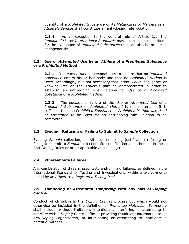quantity of a *Prohibited Substance* or its *Metabolites* or *Markers* in an *Athlete's Sample* shall constitute an anti-doping rule violation.

**2.1.4** As an exception to the general rule of Article 2.1, the *Prohibited List* or *International Standards* may establish special criteria for the evaluation of *Prohibited Substances* that can also be produced endogenously.

## **2.2** *Use* **or** *Attempted Use* **by an** *Athlete* **of a** *Prohibited Substance* **or a** *Prohibited Method*

**2.2.1** It is each *Athlete*'s personal duty to ensure that no *Prohibited Substance* enters his or her body and that no *Prohibited Method* is *Used*. Accordingly, it is not necessary that intent, *Fault*, negligence or knowing *Use* on the *Athlete*'s part be demonstrated in order to establish an anti-doping rule violation for *Use* of a *Prohibited Substance* or a *Prohibited Method*.

**2.2.2** The success or failure of the *Use* or *Attempted Use* of a *Prohibited Substance* or *Prohibited Method* is not material. It is sufficient that the *Prohibited Substance* or *Prohibited Method* was *Used* or *Attempted* to be *Used* for an anti-doping rule violation to be committed.

# **2.3 Evading, Refusing or Failing to Submit to** *Sample* **Collection**

Evading *Sample* collection, or without compelling justification refusing or failing to submit to *Sample* collection after notification as authorized in these Anti-Doping Rules or other applicable anti-doping rules.

## **2.4 Whereabouts Failures**

Any combination of three missed tests and/or filing failures, as defined in the International Standard for Testing and Investigations, within a twelve-month period by an *Athlete* in *a Registered Testing Pool.*

## **2.5** *Tampering* **or** *Attempted Tampering* **with any part of** *Doping Control*

Conduct which subverts the *Doping Control* process but which would not otherwise be included in the definition of *Prohibited Methods. Tampering* shall include, without limitation, intentionally interfering or attempting to interfere with a *Doping Control* official, providing fraudulent information to an *Anti-Doping Organization*, or intimidating or attempting to intimidate a potential witness.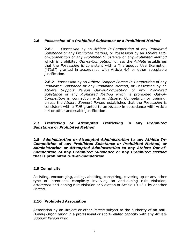# **2.6** *Possession* **of a** *Prohibited Substance* **or a** *Prohibited Method*

**2.6.1** *Possession* by an *Athlete In-Competition* of any *Prohibited Substance* or any *Prohibited Method*, or *Possession* by an *Athlete Outof-Competition* of any *Prohibited Substance* or any *Prohibited Method*  which is prohibited *Out-of-Competition* unless the *Athlete* establishes that the *Possession* is consistent with a Therapeutic Use Exemption ("*TUE*") granted in accordance with Article 4.4 or other acceptable justification.

**2.6.2** *Possession* by an *Athlete Support Person In-Competition* of any *Prohibited Substance* or any *Prohibited Method*, or *Possession* by an *Athlete Support Person Out-of-Competition* of any *Prohibited Substance* or any *Prohibited Method* which is prohibited *Out-of-Competition* in connection with an *Athlete*, *Competition* or training, unless the *Athlete Support Person* establishes that the *Possession* is consistent with a *TUE* granted to an *Athlete* in accordance with Article 4.4 or other acceptable justification.

# **2.7** *Trafficking* **or** *Attempted Trafficking* **in any** *Prohibited Substance* **or** *Prohibited Method*

**2.8** *Administration* **or** *Attempted Administration* **to any** *Athlete In-Competition* **of any** *Prohibited Substance or Prohibited Method,* **or**  *Administration* **or** *Attempted Administration* **to any** *Athlete Out-of-Competition* **of any** *Prohibited Substance* **or any** *Prohibited Method*  **that is prohibited** *Out-of-Competition*

# **2.9 Complicity**

Assisting, encouraging, aiding, abetting, conspiring, covering up or any other type of intentional complicity involving an anti-doping rule violation, *Attempted* anti-doping rule violation or violation of Article 10.12.1 by another *Person*.

# **2.10 Prohibited Association**

Association by an *Athlete* or other *Person* subject to the authority of an *Anti-Doping Organization* in a professional or sport-related capacity with any *Athlete Support Person* who: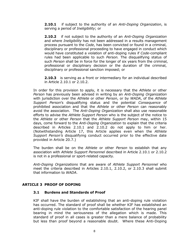**2.10.1** if subject to the authority of an *Anti-Doping Organization*, is serving a period of *Ineligibility*; or

**2.10.2** if not subject to the authority of an *Anti-Doping Organization* and where *Ineligibility* has not been addressed in a results management process pursuant to the *Code*, has been convicted or found in a criminal, disciplinary or professional proceeding to have engaged in conduct which would have constituted a violation of anti-doping rules if *Code*-compliant rules had been applicable to such *Person.* The disqualifying status of such *Person* shall be in force for the longer of six years from the criminal, professional or disciplinary decision or the duration of the criminal, disciplinary or professional sanction imposed; or

**2.10.3** is serving as a front or intermediary for an individual described in Article 2.10.1 or 2.10.2.

In order for this provision to apply, it is necessary that the *Athlete* or other *Person* has previously been advised in writing by an *Anti-Doping Organization* with jurisdiction over the *Athlete* or other *Person*, or by *WADA*, of the *Athlete Support Person*'s disqualifying status and the potential *Consequence* of prohibited association and that the *Athlete* or other *Person* can reasonably avoid the association. The *Anti-Doping Organization* shall also use reasonable efforts to advise the *Athlete Support Person* who is the subject of the notice to the *Athlete* or other *Person* that the *Athlete Support Person* may, within 15 days, come forward to the *Anti-Doping Organization* to explain that the criteria described in Articles 2.10.1 and 2.10.2 do not apply to him or her. (Notwithstanding Article 17, this Article applies even when the *Athlete Support Person's* disqualifying conduct occurred prior to the effective date provided in Article 20.7.)

The burden shall be on the *Athlete* or other *Person* to establish that any association with *Athlete Support Personnel* described in Article 2.10.1 or 2.10.2 is not in a professional or sport-related capacity.

*Anti-Doping Organizations* that are aware of *Athlete Support Personnel* who meet the criteria described in Articles 2.10.1, 2.10.2, or 2.10.3 shall submit that information to *WADA*.

## <span id="page-7-0"></span>**ARTICLE 3 PROOF OF DOPING**

## **3.1 Burdens and Standards of Proof**

KIF shall have the burden of establishing that an anti-doping rule violation has occurred. The standard of proof shall be whether KIF has established an anti-doping rule violation to the comfortable satisfaction of the hearing panel bearing in mind the seriousness of the allegation which is made. This standard of proof in all cases is greater than a mere balance of probability but less than proof beyond a reasonable doubt. Where these Anti-Doping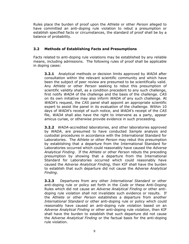Rules place the burden of proof upon the *Athlete* or other *Person* alleged to have committed an anti-doping rule violation to rebut a presumption or establish specified facts or circumstances, the standard of proof shall be by a balance of probability.

# **3.2 Methods of Establishing Facts and Presumptions**

Facts related to anti-doping rule violations may be established by any reliable means, including admissions. The following rules of proof shall be applicable in doping cases:

**3.2.1** Analytical methods or decision limits approved by *WADA* after consultation within the relevant scientific community and which have been the subject of peer review are presumed to be scientifically valid. Any *Athlete* or other *Person* seeking to rebut this presumption of scientific validity shall, as a condition precedent to any such challenge, first notify *WADA* of the challenge and the basis of the challenge. *CAS* on its own initiative may also inform *WADA* of any such challenge. At *WADA*'s request, the *CAS* panel shall appoint an appropriate scientific expert to assist the panel in its evaluation of the challenge. Within 10 days of *WADA*'s receipt of such notice, and *WADA*'s receipt of the *CAS* file, *WADA* shall also have the right to intervene as a party, appear amicus curiae, or otherwise provide evidence in such proceeding.

**3.2.2** *WADA*-accredited laboratories, and other laboratories approved by *WADA*, are presumed to have conducted *Sample* analysis and custodial procedures in accordance with the International Standard for Laboratories. The *Athlete* or other *Person* may rebut this presumption by establishing that a departure from the International Standard for Laboratories occurred which could reasonably have caused the *Adverse Analytical Finding*. If the *Athlete* or other *Person* rebuts the preceding presumption by showing that a departure from the International Standard for Laboratories occurred which could reasonably have caused the *Adverse Analytical Finding*, then KIF shall have the burden to establish that such departure did not cause the *Adverse Analytical Finding*.

**3.2.3** Departures from any other *International Standard* or other anti-doping rule or policy set forth in the *Code* or these Anti-Doping Rules which did not cause an *Adverse Analytical Finding* or other antidoping rule violation shall not invalidate such evidence or results. If the *Athlete* or other *Person* establishes a departure from another *International Standard* or other anti-doping rule or policy which could reasonably have caused an anti-doping rule violation based on an *Adverse Analytical Finding* or other anti-doping rule violation, then KIF shall have the burden to establish that such departure did not cause the *Adverse Analytical Finding* or the factual basis for the anti-doping rule violation.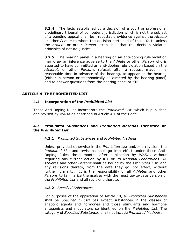**3.2.4** The facts established by a decision of a court or professional disciplinary tribunal of competent jurisdiction which is not the subject of a pending appeal shall be irrebuttable evidence against the *Athlete* or other *Person* to whom the decision pertained of those facts unless the *Athlete* or other *Person* establishes that the decision violated principles of natural justice.

**3.2.5** The hearing panel in a hearing on an anti-doping rule violation may draw an inference adverse to the *Athlete* or other *Person* who is asserted to have committed an anti-doping rule violation based on the *Athlete's* or other *Person*'s refusal, after a request made in a reasonable time in advance of the hearing, to appear at the hearing (either in person or telephonically as directed by the hearing panel) and to answer questions from the hearing panel or KIF.

# <span id="page-9-0"></span>**ARTICLE 4 THE PROHIBITED LIST**

## **4.1 Incorporation of the** *Prohibited List*

These Anti-Doping Rules incorporate the *Prohibited List*, which is published and revised by *WADA* as described in Article 4.1 of the *Code*.

## **4.2** *Prohibited Substances* **and** *Prohibited Methods* **Identified on the** *Prohibited List*

#### **4.2.1** *Prohibited Substances* and *Prohibited Methods*

Unless provided otherwise in the *Prohibited List* and/or a revision, the *Prohibited List* and revisions shall go into effect under these Anti-Doping Rules three months after publication by *WADA*, without requiring any further action by KIF or its *National Federations.* All *Athletes* and other *Persons* shall be bound by the *Prohibited List*, and any revisions thereto, from the date they go into effect, without further formality. It is the responsibility of all *Athletes* and other *Persons* to familiarize themselves with the most up-to-date version of the *Prohibited List* and all revisions thereto.

#### **4.2.2** *Specified Substances*

For purposes of the application of Article 10, all *Prohibited Substances* shall be *Specified Substances* except substances in the classes of anabolic agents and hormones and those stimulants and hormone antagonists and modulators so identified on the *Prohibited List*. The category of *Specified Substances* shall not include *Prohibited Methods*.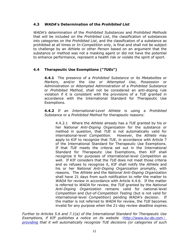# **4.3** *WADA***'s Determination of the** *Prohibited List*

*WADA's* determination of the *Prohibited Substances* and *Prohibited Methods* that will be included on the *Prohibited List*, the classification of substances into categories on the *Prohibited List*, and the classification of a substance as prohibited at all times or *In-Competition* only, is final and shall not be subject to challenge by an *Athlete* or other *Person* based on an argument that the substance or method was not a masking agent or did not have the potential to enhance performance, represent a health risk or violate the spirit of sport.

# **4.4 Therapeutic Use Exemptions ("***TUEs***")**

**4.4.1** The presence of a *Prohibited Substance* or its *Metabolites* or *Markers*, and/or the *Use* or *Attempted Use*, *Possession* or *Administration* or *Attempted Administration* of a *Prohibited Substance* or *Prohibited Method*, shall not be considered an anti-doping rule violation if it is consistent with the provisions of a *TUE* granted in accordance with the International Standard for Therapeutic Use Exemptions.

**4.4.2** If an *International-Level Athlete* is using a *Prohibited Substance* or a *Prohibited Method* for therapeutic reasons:

4.4.2.1 Where the *Athlete* already has a *TUE* granted by his or her *National Anti-Doping Organization* for the substance or method in question, that *TUE* is not automatically valid for international-level *Competition.* However, the *Athlete* may apply to KIF to recognize that *TUE*, in accordance with Article 7 of the International Standard for Therapeutic Use Exemptions*.*  If that *TUE* meets the criteria set out in the International Standard for Therapeutic Use Exemptions, then KIF shall recognize it for purposes of international-level *Competition* as well. If KIF considers that the *TUE* does not meet those criteria and so refuses to recognize it, KIF shall notify the *Athlete* and his or her *National Anti-Doping Organization* promptly, with reasons. The *Athlete* and the *National Anti-Doping Organization* shall have 21 days from such notification to refer the matter to *WADA* for review in accordance with Article 4.4.6. If the matter is referred to *WADA* for review, the *TUE* granted by the *National Anti-Doping Organization* remains valid for national-level *Competition* and *Out-of-Competition Testing* (but is not valid for international-level *Competition*) pending *WADA*'s decision. If the matter is not referred to *WADA* for review, the *TUE* becomes invalid for any purpose when the 21-day review deadline expires.

*Further to Articles 5.6 and 7.1(a) of the International Standard for Therapeutic Use Exemptions, if KIF publishes a notice on its website*(*[http://www.ku-do.com](http://www.ku-do.com）providing)*) *[providing](http://www.ku-do.com）providing) that it will automatically recognize TUE decisions (or categories of such*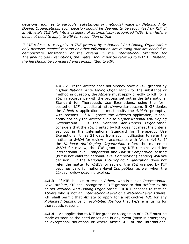*decisions, e.g., as to particular substances or methods) made by National Anti-Doping Organizations, such decision should be deemed to be recognized by KIF. If an Athlete's TUE falls into a category of automatically recognized TUEs, then he/she does not need to apply to KIF for recognition of that.*

*If KIF refuses to recognize a TUE granted by a National Anti-Doping Organization only because medical records or other information are missing that are needed to demonstrate satisfaction of the criteria in the International Standard for Therapeutic Use Exemptions, the matter should not be referred to WADA. Instead, the file should be completed and re-submitted to KIF.*

> 4.4.2.2 If the *Athlete* does not already have a *TUE* granted by his/her *National Anti-Doping Organization* for the substance or method in question, the *Athlete* must apply directly to KIF for a *TUE* in accordance with the process set out in the International Standard for Therapeutic Use Exemptions, using the form posted on KIF's website at [http://www.ku-do.com.](http://www.ku-do.com/) If KIF denies the *Athlete*'s application, it must notify the *Athlete* promptly, with reasons. If KIF grants the *Athlete*'s application, it shall notify not only the *Athlete* but also his/her *National Anti-Doping Organization*. If the *National Anti-Doping Organization* considers that the *TUE* granted by KIF does not meet the criteria set out in the International Standard for Therapeutic Use Exemptions, it has 21 days from such notification to refer the matter to *WADA* for review in accordance with Article 4.4.6. If the *National Anti-Doping Organization* refers the matter to *WADA* for review, the *TUE* granted by KIF remains valid for international-level *Competition* and *Out-of-Competition Testing* (but is not valid for national-level *Competition*) pending *WADA*'s decision. If the *National Anti-Doping Organization* does not refer the matter to *WADA* for review, the *TUE* granted by KIF becomes valid for national-level *Competitio*n as well when the 21-day review deadline expires.

**4.4.3** If KIF chooses to test an *Athlete* who is not an *International-Level Athlete*, KIF shall recognize a *TUE* granted to that *Athlete* by his or her *National Anti-Doping Organization*. If KIF chooses to test an *Athlete* who is not an *International-Level* or a *National-Level Athlete*, KIF shall permit that *Athlete* to apply for a retroactive *TUE* for any *Prohibited Substance* or *Prohibited Method* that he/she is using for therapeutic reasons.

**4.4.4** An application to KIF for grant or recognition of a *TUE* must be made as soon as the need arises and in any event (save in emergency or exceptional situations or where Article 4.3 of the International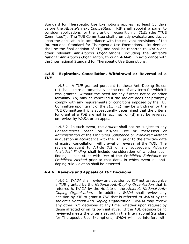Standard for Therapeutic Use Exemptions applies) at least 30 days before the *Athlete's* next *Competition*. KIF shall appoint a panel to consider applications for the grant or recognition of *TUEs* (the **"**TUE Committee**"**). The TUE Committee shall promptly evaluate and decide upon the application in accordance with the relevant provisions of the International Standard for Therapeutic Use Exemptions. Its decision shall be the final decision of KIF, and shall be reported to *WADA* and other relevant *Anti-Doping Organizations*, including the *Athlete*'s *National Anti-Doping Organization*, through *ADAMS*, in accordance with the International Standard for Therapeutic Use Exemptions.

#### **4.4.5 Expiration, Cancellation, Withdrawal or Reversal of a**  *TUE*

4.4.5.1 A *TUE* granted pursuant to these Anti-Doping Rules: (a) shall expire automatically at the end of any term for which it was granted, without the need for any further notice or other formality; (b) may be cancelled if the *Athlete* does not promptly comply with any requirements or conditions imposed by the TUE Committee upon grant of the *TUE*; (c) may be withdrawn by the TUE Committee if it is subsequently determined that the criteria for grant of a *TUE* are not in fact met; or (d) may be reversed on review by *WADA* or on appeal.

4.4.5.2 In such event, the *Athlete* shall not be subject to any *Consequences* based on his/her *Use* or *Possession* or *Administration* of the *Prohibited Substance* or *Prohibited Method* in question in accordance with the *TUE* prior to the effective date of expiry, cancellation, withdrawal or reversal of the *TUE*. The review pursuant to Article 7.2 of any subsequent *Adverse Analytical Finding* shall include consideration of whether such finding is consistent with *Use* of the *Prohibited Substance* or *Prohibited Method* prior to that date, in which event no antidoping rule violation shall be asserted.

## **4.4.6 Reviews and Appeals of** *TUE* **Decisions**

4.4.6.1*WADA* shall review any decision by KIF not to recognize a *TUE* granted by the *National Anti-Doping Organization* that is referred *to WADA* by the *Athlete* or the *Athlete's National Anti-Doping Organization.* In addition, *WADA* shall review any decision by KIF to grant a *TUE* that is referred *to WADA* by the *Athlete's National Anti-Doping Organization*. *WADA* may review any other *TUE* decisions at any time, whether upon request by those affected or on its own initiative. If the *TUE* decision being reviewed meets the criteria set out in the International Standard for Therapeutic Use Exemptions, *WADA* will not interfere with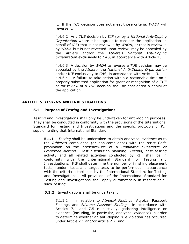it. If the *TUE* decision does not meet those criteria, *WADA* will reverse it.

4.4.6.2 Any *TUE* decision by KIF (or by a *National Anti-Doping Organization* where it has agreed to consider the application on behalf of KIF) that is not reviewed by *WADA*, or that is reviewed by *WADA* but is not reversed upon review, may be appealed by the *Athlete* and/or the *Athlete's National Anti-Doping Organization* exclusively to *CAS*, in accordance with Article 13.

4.4.6.3 A decision by *WADA* to reverse a *TUE* decision may be appealed by the *Athlete,* the *National Anti-Doping Organization* and/or KIF exclusively to *CAS*, in accordance with Article 13. 4.4.6.4A failure to take action within a reasonable time on a properly submitted application for grant or recognition of a *TUE* or for review of a *TUE* decision shall be considered a denial of the application.

# <span id="page-13-0"></span>**ARTICLE 5** *TESTING* **AND INVESTIGATIONS**

## **5.1 Purpose of** *Testing* **and Investigations**

*Testing* and investigations shall only be undertaken for anti-doping purposes. They shall be conducted in conformity with the provisions of the International Standard for Testing and Investigations and the specific protocols of KIF supplementing that International Standard.

**5.1.1** *Testing* shall be undertaken to obtain analytical evidence as to the *Athlete*'s compliance (or non-compliance) with the strict *Cod*e prohibition on the presence/*Use* of a *Prohibited Substance* or *Prohibited Method*. Test distribution planning, *Testing*, post-*Testing* activity and all related activities conducted by KIF shall be in conformity with the International Standard for Testing and Investigations. KIF shall determine the number of finishing placement tests, random tests and target tests to be performed, in accordance with the criteria established by the International Standard for Testing and Investigations. All provisions of the International Standard for Testing and Investigations shall apply automatically in respect of all such *Testing.* 

## **5.1.2** Investigations shall be undertaken:

5.1.2.1 in relation to *Atypical Findings*, Atypical Passport Findings and *Adverse Passport Findings*, in accordance with Articles 7.4 and 7.5 respectively, gathering intelligence or evidence (including, in particular, analytical evidence) in order to determine whether an anti-doping rule violation has occurred under Article 2.1 and/or Article 2.2; and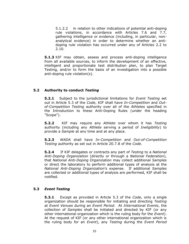5.1.2.2 in relation to other indications of potential anti-doping rule violations, in accordance with Articles 7.6 and 7.7, gathering intelligence or evidence (including, in particular, nonanalytical evidence) in order to determine whether an antidoping rule violation has occurred under any of Articles 2.2 to 2.10.

**5.1.3** KIF may obtain, assess and process anti-doping intelligence from all available sources, to inform the development of an effective, intelligent and proportionate test distribution plan, to plan Target Testing, and/or to form the basis of an investigation into a possible anti-doping rule violation(s).

## **5.2 Authority to conduct** *Testing*

**5.2.1** Subject to the jurisdictional limitations for *Event Testing* set out in Article 5.3 of the *Code*, KIF shall have *In-Competition* and *Outof-Competition Testing* authority over all of the *Athletes* specified in the Introduction to these Anti-Doping Rules (under the heading "Scope").

**5.2.2** KIF may require any *Athlete* over whom it has *Testing*  authority (including any *Athlete* serving a period of *Ineligibility*) to provide a *Sample* at any time and at any place.

**5.2.3** *WADA* shall have *In-Competition* and *Out-of-Competition Testing* authority as set out in Article 20.7.8 of the *Code*.

**5.2.4** If KIF delegates or contracts any part of *Testing* to a *National Anti-Doping Organization* (directly or through a *National Federation*), that *National Anti-Doping Organization* may collect additional *Samples* or direct the laboratory to perform additional types of analysis at the *National Anti-Doping Organization*'s expense. If additional *Samples*  are collected or additional types of analysis are performed, KIF shall be notified.

## **5.3** *Event Testing*

**5.3.1** Except as provided in Article 5.3 of the *Code*, only a single organization should be responsible for initiating and directing *Testing* at *Event Venues* during an *Event Period*. At *International Events*, the collection of *Samples* shall be initiated and directed by KIF (or any other international organization which is the ruling body for the *Event*). At the request of KIF (or any other international organization which is the ruling body for an *Event*), any *Testing* during the *Event Period*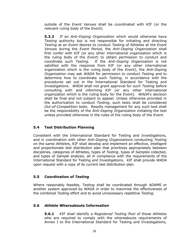outside of the *Event Venues* shall be coordinated with KIF (or the relevant ruling body of the *Event*).

**5.3.2** If an *Anti-Doping Organization* which would otherwise have *Testing* authority but is not responsible for initiating and directing *Testing* at an *Event* desires to conduct *Testing* of *Athletes* at the *Event Venues* during the *Event Period*, the *Anti-Doping Organization* shall first confer with KIF (or any other international organization which is the ruling body of the *Event*) to obtain permission to conduct and coordinate such *Testing*. If the *Anti-Doping Organization* is not satisfied with the response from KIF (or any other international organization which is the ruling body of the *Event*), the *Anti-Doping Organization* may ask *WADA* for permission to conduct *Testing* and to determine how to coordinate such *Testing*, in accordance with the procedures set out in the International Standard for Testing and Investigations. *WADA* shall not grant approval for such *Testing* before consulting with and informing KIF (or any other international organization which is the ruling body for the *Event*). *WADA*'s decision shall be final and not subject to appeal. Unless otherwise provided in the authorization to conduct *Testing*, such tests shall be considered *Out-of-Competition* tests*.* Results management for any such test shall be the responsibility of the *Anti-Doping Organization* initiating the test unless provided otherwise in the rules of the ruling body of the *Event*.

# **5.4 Test Distribution Planning**

Consistent with the International Standard for Testing and Investigations*,*  and in coordination with other *Anti-Doping Organization*s conducting *Testing* on the same *Athlete*s, KIF shall develop and implement an effective, intelligent and proportionate test distribution plan that prioritizes appropriately between disciplines, categories of Athletes, types of *Testing*, types of *Samples* collected, and types of *Sample* analysis, all in compliance with the requirements of the International Standard for Testing and Investigations. KIF shall provide *WADA* upon request with a copy of its current test distribution plan.

# **5.5 Coordination of** *Testing*

Where reasonably feasible, *Testing* shall be coordinated through *ADAMS* or another system approved by *WADA* in order to maximize the effectiveness of the combined *Testing* effort and to avoid unnecessary repetitive *Testing*.

## **5.6** *Athlete* **Whereabouts Information**

**5.6.1** KIF shall identify a *Registered Testing Pool* of those *Athletes* who are required to comply with the whereabouts requirements of Annex I to the International Standard for Testing and Investigations,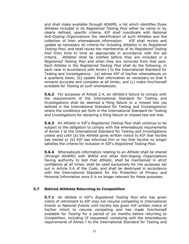and shall make available through *ADAMS,* a list which identifies those *Athlete*s included in its *Registered Testing Pool* either by name or by clearly defined, specific criteria. KIF shall coordinate with *National Anti-Doping Organizations* the identification of such *Athlete*s and the collection of their whereabouts information. KIF shall review and update as necessary its criteria for including *Athletes* in its *Registered Testing Pool*, and shall revise the membership of its *Registered Testing Pool* from time to time as appropriate in accordance with the set criteria. *Athletes* shall be notified before they are included in a *Registered Testing Pool* and when they are removed from that pool. Each *Athlete* in the *Registered Testing Pool* shall do the following, in each case in accordance with Annex I to the International Standard for Testing and Investigations: (a) advise KIF of his/her whereabouts on a quarterly basis; (b) update that information as necessary so that it remains accurate and complete at all times; and (c) make him/herself available for *Testing* at such whereabouts.

**5.6.2** For purposes of Article 2.4, an *Athlete's* failure to comply with the requirements of the International Standard for Testing and Investigations shall be deemed a filing failure or a missed test (as defined in the International Standard for Testing and Investigations) where the conditions set forth in the International Standard for Testing and Investigations for declaring a filing failure or missed test are met.

**5.6.3** An *Athlete* in KIF's *Registered Testing Pool* shall continue to be subject to the obligation to comply with the whereabouts requirements of Annex I to the International Standard for Testing and Investigations unless and until (a) the *Athlete* gives written notice to KIF that he/she has retired or (b) KIF has informed him or her that he/she no longer satisfies the criteria for inclusion in KIF's *Registered Testing Pool*.

**5.6.4** Whereabouts information relating to an *Athlete* shall be shared (through *ADAMS*) with *WADA* and other *Anti-Doping Organizations* having authority to test that *Athlete*, shall be maintained in strict confidence at all times, shall be used exclusively for the purposes set out in Article 5.6 of the *Code*, and shall be destroyed in accordance with the International Standard for the Protection of Privacy and Personal Information once it is no longer relevant for these purposes.

## **5.7 Retired** *Athletes* **Returning to** *Competition*

**5.7.1** An *Athlete* in KIF's *Registered Testing Pool* who has given notice of retirement to KIF may not resume competing in *International Events* or *National Events* until he/she has given KIF written notice of his/her intent to resume competing and has made him/herself available for *Testing* for a period of six months before returning to *Competition*, including (if requested) complying with the whereabouts requirements of Annex I to the International Standard for Testing and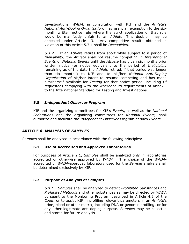Investigations. *WADA*, in consultation with KIF and the *Athlete's National Anti-Doping Organization*, may grant an exemption to the sixmonth written notice rule where the strict application of that rule would be manifestly unfair to an *Athlete*. This decision may be appealed under Article 13. Any competitive results obtained in violation of this Article 5.7.1 shall be *Disqualified*.

**5.7.2** If an *Athlete* retires from sport while subject to a period of *Ineligibility*, the *Athlete* shall not resume competing in *International Events* or *National Events* until the *Athlete* has given six months prior written notice (or notice equivalent to the period of *Ineligibility*  remaining as of the date the *Athlete* retired, if that period was longer than six months) to KIF and to his/her *National Anti-Doping Organization* of his/her intent to resume competing and has made him/herself available for *Testing* for that notice period, including (if requested) complying with the whereabouts requirements of Annex I to the International Standard for Testing and Investigations.

# **5.8** *Independent Observer Program*

KIF and the organizing committees for KIF's *Events*, as well as the *National Federations* and the organizing committees for *National Events,* shall authorize and facilitate the *Independent Observer Program* at such *Events*.

# <span id="page-17-0"></span>**ARTICLE 6 ANALYSIS OF** *SAMPLES*

*Samples* shall be analyzed in accordance with the following principles:

## **6.1 Use of Accredited and Approved Laboratories**

For purposes of Article 2.1, *Samples* shall be analyzed only in laboratories accredited or otherwise approved by *WADA*. The choice of the *WADA*accredited or *WADA*-approved laboratory used for the *Sample* analysis shall be determined exclusively by KIF.

## **6.2 Purpose of Analysis of** *Samples*

**6.2.1** *Samples* shall be analyzed to detect *Prohibited Substances* and *Prohibited Methods* and other substances as may be directed by *WADA* pursuant to the Monitoring Program described in Article 4.5 of the *Code*; or to assist KIF in profiling relevant parameters in an *Athlete*'s urine, blood or other matrix, including DNA or genomic profiling; or for any other legitimate anti-doping purpose. *Samples* may be collected and stored for future analysis.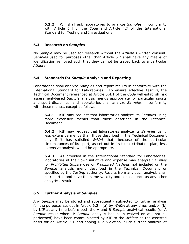**6.2.2** KIF shall ask laboratories to analyze *Samples* in conformity with Article 6.4 of the *Code* and Article 4.7 of the International Standard for Testing and Investigations.

# **6.3 Research on** *Samples*

No *Sample* may be used for research without the *Athlete's* written consent. *Samples* used for purposes other than Article 6.2 shall have any means of identification removed such that they cannot be traced back to a particular *Athlete*.

# **6.4 Standards for** *Sample* **Analysis and Reporting**

Laboratories shall analyze *Samples* and report results in conformity with the International Standard for Laboratories. To ensure effective *Testing*, the Technical Document referenced at Article 5.4.1 of the *Code* will establish risk assessment-based *Sample* analysis menus appropriate for particular sports and sport disciplines, and laboratories shall analyze *Samples* in conformity with those menus, except as follows:

**6.4.1** KIF may request that laboratories analyze its *Samples* using more extensive menus than those described in the Technical Document.

**6.4.2** KIF may request that laboratories analyze its *Samples* using less extensive menus than those described in the Technical Document only if it has satisfied *WADA* that, because of the particular circumstances of its sport, as set out in its test distribution plan, less extensive analysis would be appropriate.

**6.4.3** As provided in the International Standard for Laboratories, laboratories at their own initiative and expense may analyze *Samples*  for *Prohibited Substances* or *Prohibited Methods* not included on the *Sample* analysis menu described in the Technical Document or specified by the *Testing* authority. Results from any such analysis shall be reported and have the same validity and consequence as any other analytical result.

# **6.5 Further Analysis of** *Samples*

Any *Sample* may be stored and subsequently subjected to further analysis for the purposes set out in Article 6.2: (a) by *WADA* at any time; and/or (b) by KIF at any time before both the A and B *Sample* analytical results (or A *Sample* result where B *Sample* analysis has been waived or will not be performed) have been communicated by KIF to the *Athlete* as the asserted basis for an Article 2.1 anti-doping rule violation. Such further analysis of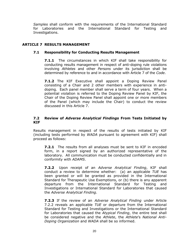*Samples* shall conform with the requirements of the International Standard for Laboratories and the International Standard for Testing and Investigations.

# <span id="page-19-0"></span>**ARTICLE 7 RESULTS MANAGEMENT**

## **7.1 Responsibility for Conducting Results Management**

**7.1.1** The circumstances in which KIF shall take responsibility for conducting results management in respect of anti-doping rule violations involving *Athletes* and other *Persons* under its jurisdiction shall be determined by reference to and in accordance with Article 7 of the *Code*.

**7.1.2** The KIF Executive shall appoint a Doping Review Panel consisting of a Chair and 2 other members with experience in antidoping. Each panel member shall serve a term of four years. When a potential violation is referred to the Doping Review Panel by KIF, the Chair of the Doping Review Panel shall appoint one or more members of the Panel (which may include the Chair) to conduct the review discussed in this Article 7.

# **7.2 Review of** *Adverse Analytical Findings* **From Tests Initiated by KIF**

Results management in respect of the results of tests initiated by KIF (including tests performed by *WADA* pursuant to agreement with KIF) shall proceed as follows:

**7.2.1** The results from all analyses must be sent to KIF in encoded form, in a report signed by an authorized representative of the laboratory. All communication must be conducted confidentially and in conformity with *ADAMS*.

**7.2.2** Upon receipt of an *Adverse Analytical Finding*, KIF shall conduct a review to determine whether: (a) an applicable *TUE* has been granted or will be granted as provided in the International Standard for Therapeutic Use Exemptions, or (b) there is any apparent departure from the International Standard for Testing and Investigations or International Standard for Laboratories that caused the *Adverse Analytical Finding*.

**7.2.3** If the review of an *Adverse Analytical Finding* under Article 7.2.2 reveals an applicable *TUE* or departure from the International Standard for Testing and Investigations or the International Standard for Laboratories that caused the *Atypical Finding*, the entire test shall be considered negative and the *Athlete*, the *Athlete*'s *National Anti-Doping Organization* and *WADA* shall be so informed.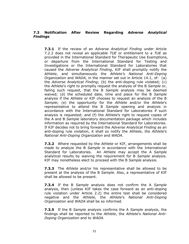# **7.3 Notification After Review Regarding** *Adverse Analytical Findings*

**7.3.1** If the review of an *Adverse Analytical Finding* under Article 7.2.2 does not reveal an applicable *TUE* or entitlement to a *TUE* as provided in the International Standard for Therapeutic Use Exemptions, or departure from the International Standard for Testing and Investigations or the International Standard for Laboratories that caused the *Adverse Analytical Finding*, KIF shall promptly notify the *Athlete*, and simultaneously the *Athlete's National Anti-Doping Organization* and *WADA*, in the manner set out in Article 14.1, of: (a) the *Adverse Analytical Finding*; (b) the anti-doping rule violated; (c) the *Athlete*'s right to promptly request the analysis of the B *Sample* or, failing such request, that the B *Sample* analysis may be deemed waived; (d) the scheduled date, time and place for the B *Sample* analysis if the *Athlete* or KIF chooses to request an analysis of the B *Sample*; (e) the opportunity for the *Athlete* and/or the *Athlete*'s representative to attend the B *Sample* opening and analysis in accordance with the International Standard for Laboratories if such analysis is requested; and (f) the *Athlete*'s right to request copies of the A and B *Sample* laboratory documentation package which includes information as required by the International Standard for Laboratories. If KIF decides not to bring forward the *Adverse Analytical Finding* as an anti-doping rule violation, it shall so notify the *Athlete*, the *Athlete*'s *National Anti-Doping Organization* and *WADA*.

**7.3.2** Where requested by the *Athlete* or KIF, arrangements shall be made to analyze the B *Sample* in accordance with the International Standard for Laboratories. An *Athlete* may accept the A *Sample* analytical results by waiving the requirement for B *Sample* analysis. KIF may nonetheless elect to proceed with the B *Sample* analysis.

**7.3.3** The *Athlete* and/or his representative shall be allowed to be present at the analysis of the B *Sample*. Also, a representative of KIF shall be allowed to be present.

**7.3.4** If the B *Sample* analysis does not confirm the A *Sample*  analysis, then (unless KIF takes the case forward as an anti-doping rule violation under Article 2.2) the entire test shall be considered negative and the *Athlete*, the *Athlete*'s *National Anti-Doping Organization* and *WADA* shall be so informed.

**7.3.5** If the B *Sample* analysis confirms the A *Sample* analysis, the findings shall be reported to the *Athlete*, the *Athlete*'s *National Anti-Doping Organization* and to *WADA*.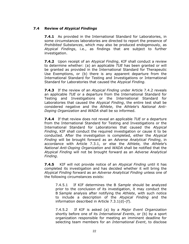# **7.4 Review of** *Atypical Findings*

**7.4.1** As provided in the International Standard for Laboratories, in some circumstances laboratories are directed to report the presence of *Prohibited Substances*, which may also be produced endogenously, as *Atypical Findings*, i.e., as findings that are subject to further investigation.

**7.4.2** Upon receipt of an *Atypical Finding*, KIF shall conduct a review to determine whether: (a) an applicable *TUE* has been granted or will be granted as provided in the International Standard for Therapeutic Use Exemptions, or (b) there is any apparent departure from the International Standard for Testing and Investigations or International Standard for Laboratories that caused the *Atypical Finding.*

**7.4.3** If the review of an *Atypical Finding* under Article 7.4.2 reveals an applicable *TUE* or a departure from the International Standard for Testing and Investigations or the International Standard for Laboratories that caused the *Atypical Finding*, the entire test shall be considered negative and the *Athlete*, the *Athlete*'s *National Anti-Doping Organization* and *WADA* shall be so informed.

**7.4.4** If that review does not reveal an applicable *TUE* or a departure from the International Standard for Testing and Investigations or the International Standard for Laboratories that caused the *Atypical Finding*, KIF shall conduct the required investigation or cause it to be conducted. After the investigation is completed, either the *Atypical Finding* will be brought forward as an *Adverse Analytical Finding*, in accordance with Article 7.3.1, or else the *Athlete,* the *Athlete*'s *National Anti-Doping Organization* and *WADA* shall be notified that the *Atypical Finding* will not be brought forward as an *Adverse Analytical Finding*.

**7.4.5** KIF will not provide notice of an *Atypical Finding* until it has completed its investigation and has decided whether it will bring the *Atypical Finding* forward as an *Adverse Analytical Finding* unless one of the following circumstances exists:

7.4.5.1 If KIF determines the B *Sample* should be analyzed prior to the conclusion of its investigation, it may conduct the B *Sample* analysis after notifying the *Athlete*, with such notice to include a description of the *Atypical Finding* and the information described in Article 7.3.1(d)-(f).

7.4.5.2 If KIF is asked (a) by a *Major Event Organization*  shortly before one of its *International Events*, or (b) by a sport organization responsible for meeting an imminent deadline for selecting team members for an *International Event*, to disclose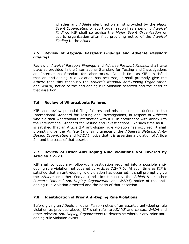whether any *Athlete* identified on a list provided by the *Major Event Organization* or sport organization has a pending *Atypical Finding*, KIF shall so advise the *Major Event Organization* or sports organization after first providing notice of the *Atypical Finding* to the *Athlete.* 

# **7.5 Review of** *Atypical Passport Findings* **and** *Adverse Passport Findings*

Review of *Atypical Passport Findings* and *Adverse Passport Findings* shall take place as provided in the International Standard for Testing and Investigations and International Standard for Laboratories. At such time as KIF is satisfied that an anti-doping rule violation has occurred, it shall promptly give the *Athlete* (and simultaneously the *Athlete's National Anti-Doping Organization*  and *WADA*) notice of the anti-doping rule violation asserted and the basis of that assertion.

# **7.6 Review of Whereabouts Failures**

KIF shall review potential filing failures and missed tests, as defined in the International Standard for Testing and Investigations, in respect of *Athletes*  who file their whereabouts information with KIF, in accordance with Annex I to the International Standard for Testing and Investigations. At such time as KIF is satisfied that an Article 2.4 anti-doping rule violation has occurred, it shall promptly give the *Athlete* (and simultaneously the *Athlete's National Anti-Doping Organization* and *WADA*) notice that it is asserting a violation of Article 2.4 and the basis of that assertion.

# **7.7 Review of Other Anti-Doping Rule Violations Not Covered by Articles 7.2–7.6**

KIF shall conduct any follow-up investigation required into a possible antidoping rule violation not covered by Articles 7.2- 7.6. At such time as KIF is satisfied that an anti-doping rule violation has occurred, it shall promptly give the *Athlete* or other *Person* (and simultaneously the *Athlete's* or other *Person's National Anti-Doping Organization* and *WADA*) notice of the antidoping rule violation asserted and the basis of that assertion.

## **7.8 Identification of Prior Anti-Doping Rule Violations**

Before giving an *Athlete* or other *Person* notice of an asserted anti-doping rule violation as provided above, KIF shall refer to *ADAMS* and contact *WADA* and other relevant *Anti-Doping Organizations* to determine whether any prior antidoping rule violation exists.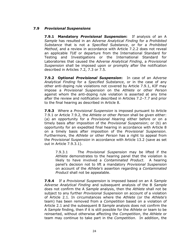# **7.9** *Provisional Suspensions*

**7.9.1 Mandatory** *Provisional Suspension***:** If analysis of an A *Sample* has resulted in an *Adverse Analytical Finding* for a *Prohibited Substance* that is not a *Specified Substance*, or for a *Prohibited Method*, and a review in accordance with Article 7.2.2 does not reveal an applicable *TUE* or departure from the International Standard for Testing and Investigations or the International Standard for Laboratories that caused the *Adverse Analytical Finding*, a *Provisional Suspension* shall be imposed upon or promptly after the notification described in Articles 7.2, 7.3 or 7.5.

**7.9.2 Optional** *Provisional Suspension***:** In case of an *Adverse Analytical Finding* for a *Specified Substance*, or in the case of any other anti-doping rule violations not covered by Article 7.9.1, KIF may impose a *Provisional Suspension* on the *Athlete* or other *Person*  against whom the anti-doping rule violation is asserted at any time after the review and notification described in Articles 7.2–7.7 and prior to the final hearing as described in Article 8.

**7.9.3** Where a *Provisional Suspension* is imposed pursuant to Article 7.9.1 or Article 7.9.2, the *Athlete* or other *Person* shall be given either: (a) an opportunity for a *Provisional Hearing* either before or on a timely basis after imposition of the *Provisional Suspension*; or (b) an opportunity for an expedited final hearing in accordance with Article 8 on a timely basis after imposition of the *Provisional Suspension.* Furthermore, the *Athlete* or other *Person* has a right to appeal from the *Provisional Suspension* in accordance with Article 13.2 (save as set out in Article 7.9.3.1).

7.9.3.1 The *Provisional Suspension* may be lifted if the *Athlete* demonstrates to the hearing panel that the violation is likely to have involved a *Contaminated Product*. A hearing panel's decision not to lift a mandatory *Provisional Suspension* on account of the *Athlete's* assertion regarding a *Contaminated Product* shall not be appealable.

**7.9.4** If a *Provisional Suspension* is imposed based on an A *Sample Adverse Analytical Finding* and subsequent analysis of the B *Sample* does not confirm the A *Sample* analysis, then the *Athlete* shall not be subject to any further *Provisional Suspension* on account of a violation of Article 2.1. In circumstances where the *Athlete* (or the *Athlete's*  team) has been removed from a *Competition* based on a violation of Article 2.1 and the subsequent B *Sample* analysis does not confirm the A *Sample* finding, then if it is still possible for the *Athlete* or team to be reinserted, without otherwise affecting the *Competition*, the *Athlete* or team may continue to take part in the *Competition*. In addition, the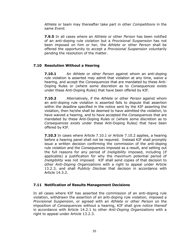*Athlete* or team may thereafter take part in other *Competitions* in the same *Event.*

**7.9.5** In all cases where an *Athlete* or other *Person* has been notified of an anti-doping rule violation but a *Provisional Suspension* has not been imposed on him or her, the *Athlete* or other *Person* shall be offered the opportunity to accept a *Provisional Suspension* voluntarily pending the resolution of the matter.

# **7.10 Resolution Without a Hearing**

**7.10.1** An *Athlete* or other *Person* against whom an anti-doping rule violation is asserted may admit that violation at any time, waive a hearing, and accept the *Consequences* that are mandated by these Anti-Doping Rules or (where some discretion as to *Consequences* exists under these Anti-Doping Rules) that have been offered by KIF.

**7.10.2** Alternatively, if the *Athlete* or other *Person* against whom an anti-doping rule violation is asserted fails to dispute that assertion within the deadline specified in the notice sent by the KIF asserting the violation, then he/she shall be deemed to have admitted the violation, to have waived a hearing, and to have accepted the *Consequences* that are mandated by these Anti-Doping Rules or (where some discretion as to *Consequences* exists under these Anti-Doping Rules) that have been offered by KIF.

**7.10.3** In cases where Article 7.10.1 or Article 7.10.2 applies, a hearing before a hearing panel shall not be required. Instead KIF shall promptly issue a written decision confirming the commission of the anti-doping rule violation and the *Consequences* imposed as a result, and setting out the full reasons for any period of *Ineligibility* imposed, including (if applicable) a justification for why the maximum potential period of *Ineligibility* was not imposed. KIF shall send copies of that decision to other *Anti-Doping Organizations* with a right to appeal under Article 13.2.3, and shall *Publicly Disclose* that decision in accordance with Article 14.3.2.

## **7.11 Notification of Results Management Decisions**

In all cases where KIF has asserted the commission of an anti-doping rule violation, withdrawn the assertion of an anti-doping rule violation, imposed a *Provisional Suspension*, or agreed with an *Athlete* or other *Person* on the imposition of *Consequences* without a hearing, KIF shall give notice thereof in accordance with Article 14.2.1 to other *Anti-Doping Organizations* with a right to appeal under Article 13.2.3.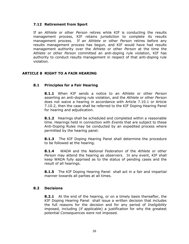## **7.12 Retirement from Sport**

If an *Athlete* or other *Person* retires while KIF is conducting the results management process, KIF retains jurisdiction to complete its results management process. If an *Athlete* or other *Person* retires before any results management process has begun, and KIF would have had results management authority over the *Athlete* or other *Person* at the time the *Athlete* or other *Person* committed an anti-doping rule violation, KIF has authority to conduct results management in respect of that anti-doping rule violation.

## <span id="page-25-0"></span>**ARTICLE 8 RIGHT TO A FAIR HEARING**

#### **8.1 Principles for a Fair Hearing**

**8.1.1** When KIF sends a notice to an *Athlete* or other *Person*  asserting an anti-doping rule violation, and the *Athlete* or other *Person*  does not waive a hearing in accordance with Article 7.10.1 or Article 7.10.2, then the case shall be referred to the KIF Doping Hearing Panel for hearing and adjudication.

**8.1.2** Hearings shall be scheduled and completed within a reasonable time. Hearings held in connection with *Event*s that are subject to these Anti-Doping Rules may be conducted by an expedited process where permitted by the hearing panel.

**8.1.3** The KIF Doping Hearing Panel shall determine the procedure to be followed at the hearing.

**8.1.4** *WADA* and the *National Federation* of the *Athlete* or other *Person* may attend the hearing as observers. In any event, KIF shall keep WADA fully apprised as to the status of pending cases and the result of all hearings.

**8.1.5** The KIF Doping Hearing Panel shall act in a fair and impartial manner towards all parties at all times.

#### **8.2 Decisions**

**8.2.1** At the end of the hearing, or on a timely basis thereafter, the KIF Doping Hearing Panel shall issue a written decision that includes the full reasons for the decision and for any period of *Ineligibility*  imposed, including (if applicable) a justification for why the greatest potential *Consequences* were not imposed.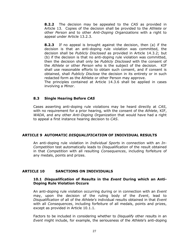**8.2.2** The decision may be appealed to the *CAS* as provided in Article 13. Copies of the decision shall be provided to the *Athlete* or other *Person* and to other *Anti-Doping Organizations* with a right to appeal under Article 13.2.3.

**8.2.3** If no appeal is brought against the decision, then (a) if the decision is that an anti-doping rule violation was committed, the decision shall be *Publicly Disclosed* as provided in Article 14.3.2; but (b) if the decision is that no anti-doping rule violation was committed, then the decision shall only be *Publicly Disclosed* with the consent of the *Athlete* or other *Person* who is the subject of the decision. KIF shall use reasonable efforts to obtain such consent, and if consent is obtained, shall *Publicly Disclose* the decision in its entirety or in such redacted form as the Athlete or other Person may approve.

The principles contained at Article 14.3.6 shall be applied in cases involving a *Minor*.

# **8.3 Single Hearing Before** *CAS*

Cases asserting anti-doping rule violations may be heard directly at *CAS*, with no requirement for a prior hearing, with the consent of the *Athlete*, KIF, *WADA*, and any other *Anti-Doping Organization* that would have had a right to appeal a first instance hearing decision to *CAS*.

## <span id="page-26-0"></span>**ARTICLE 9 AUTOMATIC** *DISQUALIFICATION* **OF INDIVIDUAL RESULTS**

An anti-doping rule violation in *Individual Sports* in connection with an *In-Competition* test automatically leads to *Disqualification* of the result obtained in that *Competition* with all resulting *Consequences*, including forfeiture of any medals, points and prizes.

## <span id="page-26-1"></span>**ARTICLE 10 SANCTIONS ON INDIVIDUALS**

#### **10.1** *Disqualification* **of Results in the** *Event* **During which an Anti-Doping Rule Violation Occurs**

An anti-doping rule violation occurring during or in connection with an *Event*  may, upon the decision of the ruling body of the *Event*, lead to *Disqualification* of all of the *Athlete's* individual results obtained in that *Event* with all *Consequences*, including forfeiture of all medals, points and prizes, except as provided in Article 10.1.1.

Factors to be included in considering whether to *Disqualify* other results in an *Event* might include, for example, the seriousness of the *Athlete*'s anti-doping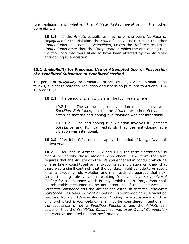rule violation and whether the *Athlete* tested negative in the other *Competitions*.

**10.1.1** If the *Athlete* establishes that he or she bears *No Fault or Negligence* for the violation, the *Athlete's* individual results in the other *Competition*s shall not be *Disqualified*, unless the *Athlete's* results in *Competition*s other than the *Competition* in which the anti-doping rule violation occurred were likely to have been affected by the *Athlete's* anti-doping rule violation.

## **10.2** *Ineligibility* **for Presence,** *Use* **or** *Attempted Use***, or** *Possession*  **of a** *Prohibited Substance* **or** *Prohibited Method*

The period of *Ineligibility* for a violation of Articles 2.1, 2.2 or 2.6 shall be as follows, subject to potential reduction or suspension pursuant to Articles 10.4, 10.5 or 10.6:

**10.2.1** The period of *Ineligibility* shall be four years where:

10.2.1.1 The anti-doping rule violation does not involve a *Specified Substance*, unless the *Athlete* or other *Person* can establish that the anti-doping rule violation was not intentional.

10.2.1.2 The anti-doping rule violation involves a *Specified Substance* and KIF can establish that the anti-doping rule violation was intentional.

**10.2.2** If Article 10.2.1 does not apply, the period of *Ineligibility* shall be two years.

**10.2.3** As used in Articles 10.2 and 10.3, the term "intentional" is meant to identify those *Athletes* who cheat. The term therefore requires that the *Athlete* or other *Person* engaged in conduct which he or she knew constituted an anti-doping rule violation or knew that there was a significant risk that the conduct might constitute or result in an anti-doping rule violation and manifestly disregarded that risk. An anti-doping rule violation resulting from an *Adverse Analytical Finding* for a substance which is only prohibited *In-Competition* shall be rebuttably presumed to be not intentional if the substance is a *Specified Substance and* the *Athlete* can establish that the *Prohibited Substance* was *Used Out-of-Competition*. An anti-doping rule violation resulting from an *Adverse Analytical Finding* for a substance which is only prohibited *In-Competition* shall not be considered intentional if the substance is not a *Specified Substance* and the *Athlete* can establish that the *Prohibited Substance* was *Used Out-of-Competition* in a context unrelated to sport performance.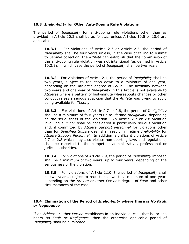## **10.3** *Ineligibility* **for Other Anti-Doping Rule Violations**

The period of *Ineligibility* for anti-doping rule violations other than as provided in Article 10.2 shall be as follows, unless Articles 10.5 or 10.6 are applicable:

**10.3.1** For violations of Article 2.3 or Article 2.5, the period of *Ineligibility* shall be four years unless, in the case of failing to submit to *Sample* collection, the *Athlete* can establish that the commission of the anti-doping rule violation was not intentional (as defined in Article 10.2.3), in which case the period of *Ineligibility* shall be two years.

**10.3.2** For violations of Article 2.4, the period of *Ineligibility* shall be two years, subject to reduction down to a minimum of one year, depending on the *Athlete*'s degree of *Fault*. The flexibility between two years and one year of *Ineligibility* in this Article is not available to *Athletes* where a pattern of last-minute whereabouts changes or other conduct raises a serious suspicion that the *Athlete* was trying to avoid being available for *Testing*.

**10.3.3** For violations of Article 2.7 or 2.8, the period of *Ineligibility* shall be a minimum of four years up to lifetime *Ineligibility*, depending on the seriousness of the violation. An Article 2.7 or 2.8 violation involving a *Minor* shall be considered a particularly serious violation and, if committed by *Athlete Support Personnel* for violations other than for *Specified Substances*, shall result in lifetime *Ineligibility* for *Athlete Support Personnel*. In addition, significant violations of Article 2.7 or 2.8 which may also violate non-sporting laws and regulations, shall be reported to the competent administrative, professional or judicial authorities.

**10.3.4** For violations of Article 2.9, the period of *Ineligibility* imposed shall be a minimum of two years, up to four years, depending on the seriousness of the violation.

**10.3.5** For violations of Article 2.10, the period of *Ineligibility* shall be two years, subject to reduction down to a minimum of one year, depending on the *Athlete* or other *Person*'s degree of *Fault* and other circumstances of the case.

# **10.4 Elimination of the Period of** *Ineligibility* **where there is** *No Fault or Negligence*

If an *Athlete* or other *Person* establishes in an individual case that he or she bears *No Fault or Negligence*, then the otherwise applicable period of *Ineligibility* shall be eliminated.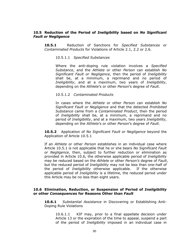#### **10.5 Reduction of the Period of** *Ineligibility* **based on** *No Significant Fault or Negligence*

**10.5.1** Reduction of Sanctions for *Specified Substances* or *Contaminated Products* for Violations of Article 2.1, 2.2 or 2.6.

#### 10.5.1.1 *Specified Substances*

Where the anti-doping rule violation involves a *Specified Substance*, and the *Athlete* or other *Person* can establish *No Significant Fault or Negligence*, then the period of *Ineligibility* shall be, at a minimum, a reprimand and no period of *Ineligibility*, and at a maximum, two years of *Ineligibility*, depending on the *Athlete*'s or other *Person*'s degree of *Fault*.

#### 10.5.1.2 *Contaminated Products*

In cases where the *Athlete* or other *Person* can establish *No Significant Fault or Negligence* and that the detected *Prohibited Substance* came from a *Contaminated Product*, then the period of *Ineligibility* shall be, at a minimum, a reprimand and no period of *Ineligibility*, and at a maximum, two years *Ineligibility*, depending on the *Athlete*'s or other *Person*'s degree of *Fault*.

**10.5.2** Application of *No Significant Fault or Negligence* beyond the Application of Article 10.5.1

If an *Athlete* or other *Person* establishes in an individual case where Article 10.5.1 is not applicable that he or she bears *No Significant Fault or Negligence*, then, subject to further reduction or elimination as provided in Article 10.6, the otherwise applicable period of *Ineligibility*  may be reduced based on the *Athlete* or other *Person's* degree of *Fault*, but the reduced period of *Ineligibility* may not be less than one-half of the period of *Ineligibility* otherwise applicable. If the otherwise applicable period of *Ineligibility* is a lifetime, the reduced period under this Article may be no less than eight years.

#### **10.6 Elimination, Reduction, or Suspension of Period of** *Ineligibility*  **or other** *Consequences* **for Reasons Other than** *Fault*

**10.6.1** *Substantial Assistance* in Discovering or Establishing Anti-Doping Rule Violations

10.6.1.1KIF may, prior to a final appellate decision under Article 13 or the expiration of the time to appeal, suspend a part of the period of *Ineligibility* imposed in an individual case in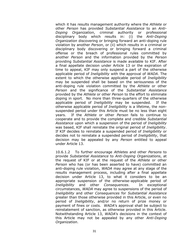which it has results management authority where the *Athlete* or other *Person* has provided *Substantial Assistance* to an *Anti-Doping Organization*, criminal authority or professional disciplinary body which results in: (i) the *Anti-Doping Organization* discovering or bringing forward an anti-doping rule violation by another *Person*, or (ii) which results in a criminal or disciplinary body discovering or bringing forward a criminal offense or the breach of professional rules committed by another *Person* and the information provided by the *Person* providing *Substantial Assistance* is made available to KIF. After a final appellate decision under Article 13 or the expiration of time to appeal, KIF may only suspend a part of the otherwise applicable period of *Ineligibility* with the approval of *WADA*. The extent to which the otherwise applicable period of *Ineligibility*  may be suspended shall be based on the seriousness of the anti-doping rule violation committed by the *Athlete* or other *Person* and the significance of the *Substantial Assistance* provided by the *Athlete* or other *Person* to the effort to eliminate doping in sport. No more than three-quarters of the otherwise applicable period of *Ineligibility* may be suspended. If the otherwise applicable period of *Ineligibility* is a lifetime, the nonsuspended period under this Article must be no less than eight years. If the *Athlete* or other *Person* fails to continue to cooperate and to provide the complete and credible *Substantial Assistance* upon which a suspension of the period of *Ineligibility* was based, KIF shall reinstate the original period of *Ineligibility*. If KIF decides to reinstate a suspended period of *Ineligibility* or decides not to reinstate a suspended period of *Ineligibility*, that decision may be appealed by any *Person* entitled to appeal under Article 13.

10.6.1.2 To further encourage *Athletes* and other *Persons* to provide *Substantial Assistance* to *Anti-Doping Organizations*, at the request of KIF or at the request of the *Athlete* or other *Person* who has (or has been asserted to have) committed an anti-doping rule violation, *WADA* may agree at any stage of the results management process, including after a final appellate decision under Article 13, to what it considers to be an appropriate suspension of the otherwise-applicable period of *Ineligibility* and other *Consequences*. In exceptional circumstances, *WADA* may agree to suspensions of the period of *Ineligibility* and other *Consequences* for *Substantial Assistance* greater than those otherwise provided in this Article, or even no period of *Ineligibility*, and/or no return of prize money or payment of fines or costs. *WADA*'s approval shall be subject to reinstatement of sanction, as otherwise provided in this Article. Notwithstanding Article 13, *WADA*'s decisions in the context of this Article may not be appealed by any other *Anti-Doping Organization*.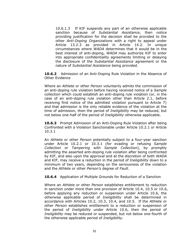10.6.1.3 If KIF suspends any part of an otherwise applicable sanction because of *Substantial Assistance*, then notice providing justification for the decision shall be provided to the other *Anti-Doping Organizations* with a right to appeal under Article 13.2.3 as provided in Article 14.2. In unique circumstances where *WADA* determines that it would be in the best interest of anti-doping, *WADA* may authorize KIF to enter into appropriate confidentiality agreements limiting or delaying the disclosure of the *Substantial Assistance* agreement or the nature of *Substantial Assistance* being provided.

**10.6.2** Admission of an Anti-Doping Rule Violation in the Absence of Other Evidence

Where an *Athlete* or other *Person* voluntarily admits the commission of an anti-doping rule violation before having received notice of a *Sample*  collection which could establish an anti-doping rule violation (or, in the case of an anti-doping rule violation other than Article 2.1, before receiving first notice of the admitted violation pursuant to Article 7) and that admission is the only reliable evidence of the violation at the time of admission, then the period of *Ineligibility* may be reduced, but not below one-half of the period of *Ineligibility* otherwise applicable.

**10.6.3** Prompt Admission of an Anti-Doping Rule Violation after being Confronted with a Violation Sanctionable under Article 10.2.1 or Article 10.3.1

An *Athlete* or other *Person* potentially subject to a four-year sanction under Article 10.2.1 or 10.3.1 (for evading or refusing *Sample Collection* or *Tampering* with *Sample Collection*), by promptly admitting the asserted anti-doping rule violation after being confronted by KIF, and also upon the approval and at the discretion of both *WADA* and KIF, may receive a reduction in the period of *Ineligibility* down to a minimum of two years, depending on the seriousness of the violation and the *Athlete* or other *Person's* degree of *Fault*.

**10.6.4** Application of Multiple Grounds for Reduction of a Sanction

Where an *Athlete* or other *Person* establishes entitlement to reduction in sanction under more than one provision of Article 10.4, 10.5 or 10.6, before applying any reduction or suspension under Article 10.6, the otherwise applicable period of *Ineligibility* shall be determined in accordance with Articles 10.2, 10.3, 10.4, and 10.5. If the *Athlete* or other *Person* establishes entitlement to a reduction or suspension of the period of *Ineligibility* under Article 10.6, then the period of *Ineligibility* may be reduced or suspended, but not below one-fourth of the otherwise applicable period of *Ineligibility*.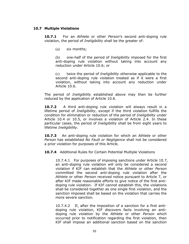#### **10.7 Multiple Violations**

**10.7.1** For an *Athlete* or other *Person*'s second anti-doping rule violation, the period of *Ineligibility* shall be the greater of:

(a) six months;

(b) one-half of the period of *Ineligibility* imposed for the first anti-doping rule violation without taking into account any reduction under Article 10.6; or

(c) twice the period of *Ineligibility* otherwise applicable to the second anti-doping rule violation treated as if it were a first violation, without taking into account any reduction under Article 10.6.

The period of *Ineligibility* established above may then be further reduced by the application of Article 10.6.

**10.7.2** A third anti-doping rule violation will always result in a lifetime period of *Ineligibility*, except if the third violation fulfills the condition for elimination or reduction of the period of *Ineligibility* under Article 10.4 or 10.5, or involves a violation of Article 2.4. In these particular cases, the period of *Ineligibility* shall be from eight years to lifetime *Ineligibility*.

**10.7.3** An anti-doping rule violation for which an *Athlete* or other *Person* has established *No Fault or Negligence* shall not be considered a prior violation for purposes of this Article.

**10.7.4** Additional Rules for Certain Potential Multiple Violations

10.7.4.1 For purposes of imposing sanctions under Article 10.7, an anti-doping rule violation will only be considered a second violation if KIF can establish that the *Athlete* or other *Person* committed the second anti-doping rule violation after the *Athlete* or other *Person* received notice pursuant to Article 7, or after KIF made reasonable efforts to give notice of the first antidoping rule violation. If KIF cannot establish this, the violations shall be considered together as one single first violation, and the sanction imposed shall be based on the violation that carries the more severe sanction.

10.7.4.2 If, after the imposition of a sanction for a first antidoping rule violation, KIF discovers facts involving an antidoping rule violation by the *Athlete* or other *Person* which occurred prior to notification regarding the first violation, then KIF shall impose an additional sanction based on the sanction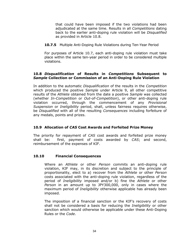that could have been imposed if the two violations had been adjudicated at the same time. Results in all *Competitions* dating back to the earlier anti-doping rule violation will be *Disqualified* as provided in Article 10.8.

**10.7.5** Multiple Anti-Doping Rule Violations during Ten-Year Period

For purposes of Article 10.7, each anti-doping rule violation must take place within the same ten-year period in order to be considered multiple violations.

#### **10.8** *Disqualification* **of Results in** *Competitions* **Subsequent to**  *Sample* **Collection or Commission of an Anti-Doping Rule Violation**

In addition to the automatic *Disqualification* of the results in the *Competition* which produced the positive *Sample* under Article 9, all other competitive results of the *Athlete* obtained from the date a positive *Sample* was collected (whether *In-Competition* or *Out-of-Competition*), or other anti-doping rule violation occurred, through the commencement of any *Provisional Suspension* or *Ineligibility* period, shall, unless fairness requires otherwise, be *Disqualified* with all of the resulting *Consequences* including forfeiture of any medals, points and prizes.

## **10.9 Allocation of** *CAS* **Cost Awards and Forfeited Prize Money**

The priority for repayment of *CAS* cost awards and forfeited prize money shall be: first, payment of costs awarded by *CAS*; and second, reimbursement of the expenses of KIF.

## **10.10 Financial Consequences**

Where an *Athlete* or other *Person* commits an anti-doping rule violation, KIF may, in its discretion and subject to the principle of proportionality, elect to a) recover from the *Athlete* or other *Person*  costs associated with the anti-doping rule violation, regardless of the period of *Ineligibility* imposed and/or b) fine the *Athlete* or other *Person* in an amount up to JPY300,000, only in cases where the maximum period of *Ineligibility* otherwise applicable has already been imposed.

The imposition of a financial sanction or the KIF's recovery of costs shall not be considered a basis for reducing the *Ineligibility* or other sanction which would otherwise be applicable under these Anti-Doping Rules or the *Code*.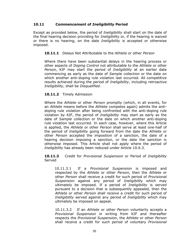## **10.11 Commencement of** *Ineligibility* **Period**

Except as provided below, the period of *Ineligibility* shall start on the date of the final hearing decision providing for *Ineligibility* or, if the hearing is waived or there is no hearing, on the date *Ineligibility* is accepted or otherwise imposed.

## **10.11.1** Delays Not Attributable to the *Athlete* or other *Person*

Where there have been substantial delays in the hearing process or other aspects of *Doping Control* not attributable to the *Athlete* or other *Person*, KIF may start the period of *Ineligibility* at an earlier date commencing as early as the date of *Sample* collection or the date on which another anti-doping rule violation last occurred. All competitive results achieved during the period of *Ineligibility*, including retroactive *Ineligibility*, shall be *Disqualified*.

# **10.11.2** Timely Admission

Where the *Athlete* or other *Person* promptly (which, in all events, for an *Athlete* means before the *Athlete* competes again) admits the antidoping rule violation after being confronted with the anti-doping rule violation by KIF, the period of *Ineligibility* may start as early as the date of *Sample* collection or the date on which another anti-doping rule violation last occurred. In each case, however, where this Article is applied, the *Athlete* or other *Person* shall serve at least one-half of the period of *Ineligibility* going forward from the date the *Athlete* or other *Person* accepted the imposition of a sanction, the date of a hearing decision imposing a sanction, or the date the sanction is otherwise imposed. This Article shall not apply where the period of *Ineligibility* has already been reduced under Article 10.6.3.

**10.11.3** Credit for *Provisional Suspension* or Period of *Ineligibility*  Served

10.11.3.1 If a *Provisional Suspension* is imposed and respected by the *Athlete* or other *Person*, then the *Athlete* or other *Person* shall receive a credit for such period of *Provisional Suspension* against any period of *Ineligibility* which may ultimately be imposed. If a period of *Ineligibility* is served pursuant to a decision that is subsequently appealed, then the *Athlete* or other *Person* shall receive a credit for such period of *Ineligibility* served against any period of *Ineligibility* which may ultimately be imposed on appeal.

10.11.3.2 If an *Athlete* or other *Person* voluntarily accepts a *Provisional Suspension* in writing from KIF and thereafter respects the *Provisional Suspension*, the *Athlete* or other *Person* shall receive a credit for such period of voluntary *Provisional*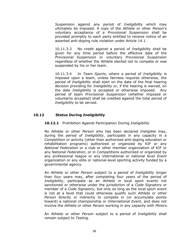*Suspension* against any period of *Ineligibility* which may ultimately be imposed. A copy of the *Athlete* or other *Perso*n's voluntary acceptance of a *Provisional Suspension* shall be provided promptly to each party entitled to receive notice of an asserted anti-doping rule violation under Article 14.1.

10.11.3.3 No credit against a period of *Ineligibility* shall be given for any time period before the effective date of the *Provisional Suspension* or voluntary *Provisional Suspension* regardless of whether the *Athlete* elected not to compete or was suspended by his or her team.

10.11.3.4 In *Team Sports*, where a period of *Ineligibility* is imposed upon a team, unless fairness requires otherwise, the period of *Ineligibility* shall start on the date of the final hearing decision providing for *Ineligibility* or, if the hearing is waived, on the date *Ineligibility* is accepted or otherwise imposed. Any period of team *Provisional Suspension* (whether imposed or voluntarily accepted) shall be credited against the total period of *Ineligibility* to be served.

## **10.12 Status During** *Ineligibility*

#### **10.12.1** Prohibition Against Participation During *Ineligibility*

No *Athlete* or other *Person* who has been declared *Ineligible* may, during the period of *Ineligibility*, participate in any capacity in a *Competition* or activity (other than authorized anti-doping education or rehabilitation programs) authorized or organized by KIF or any *National Federation* or a club or other member organization of KIF or any *National Federation*, or in *Competitions* authorized or organized by any professional league or any international or national level *Event*  organization or any elite or national-level sporting activity funded by a governmental agency.

An *Athlete* or other *Person* subject to a period of *Ineligibility* longer than four years may, after completing four years of the period of *Ineligibility*, participate as an *Athlete* in local sport events not sanctioned or otherwise under the jurisdiction of a *Code Signatory* or member of a *Code Signatory*, but only so long as the local sport event is not at a level that could otherwise qualify such *Athlete* or other *Person* directly or indirectly to compete in (or accumulate points toward) a national championship or *International Event*, and does not involve the *Athlete* or other *Person* working in any capacity with *Minors*.

An *Athlete* or other *Person* subject to a period of *Ineligibility* shall remain subject to *Testing*.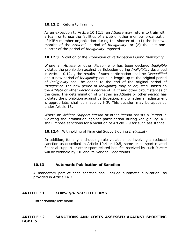#### **10.12.2** Return to Training

As an exception to Article 10.12.1, an *Athlete* may return to train with a team or to use the facilities of a club or other member organization of KIF*'s* member organization during the shorter of: (1) the last two months of the *Athlete's* period of *Ineligibility*, or (2) the last onequarter of the period of *Ineligibility* imposed.

**10.12.3** Violation of the Prohibition of Participation During *Ineligibility*

Where an *Athlete* or other *Person* who has been declared *Ineligible* violates the prohibition against participation during *Ineligibility* described in Article 10.12.1, the results of such participation shall be *Disqualified* and a new period of *Ineligibility* equal in length up to the original period of *Ineligibility* shall be added to the end of the original period of *Ineligibility*. The new period of *Ineligibility* may be adjusted based on the *Athlete* or other *Person*'s degree of *Fault* and other circumstances of the case. The determination of whether an *Athlete* or other *Person* has violated the prohibition against participation, and whether an adjustment is appropriate, shall be made by KIF. This decision may be appealed under Article 13.

Where an *Athlete Support Person* or other *Person* assists a *Person* in violating the prohibition against participation during *Ineligibility*, KIF shall impose sanctions for a violation of Article 2.9 for such assistance.

**10.12.4** Withholding of Financial Support during *Ineligibility*

In addition, for any anti-doping rule violation not involving a reduced sanction as described in Article 10.4 or 10.5, some or all sport-related financial support or other sport-related benefits received by such *Person* will be withheld by KIF and its *National Federations*.

## **10.13 Automatic Publication of Sanction**

A mandatory part of each sanction shall include automatic publication, as provided in Article 14.3.

## <span id="page-36-0"></span>**ARTICLE 11** *CONSEQUENCES* **TO TEAMS**

Intentionally left blank.

#### <span id="page-36-1"></span>**ARTICLE 12 SANCTIONS AND COSTS ASSESSED AGAINST SPORTING BODIES**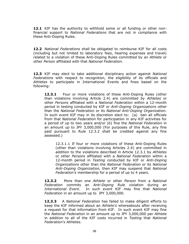**12.1** KIF has the authority to withhold some or all funding or other nonfinancial support to *National Federations* that are not in compliance with these Anti-Doping Rules.

**12.2** *National Federations* shall be obligated to reimburse KIF for all costs (including but not limited to laboratory fees, hearing expenses and travel) related to a violation of these Anti-Doping Rules committed by an *Athlete* or other *Person* affiliated with that *National Federation*.

**12.3** KIF may elect to take additional disciplinary action against *National Federations* with respect to recognition, the eligibility of its officials and *Athletes* to participate in International Events and fines based on the following:

**12.3.1** • Four or more violations of these Anti-Doping Rules (other than violations involving Article 2.4) are committed by *Athletes* or other *Persons* affiliated with a *National Federation* within a 12-month period in testing conducted by KIF or *Anti-Doping Organizations* other than the *National Federation* or its *National Anti-Doping Organization*. In such event KIF may in its discretion elect to: (a) ban all officials from that *National Federation* for participation in any KIF activities for a period of up to two years and/or (b) fine the *National Federation* in an amount up to JPY 3,000,000 (For purposes of this Rule, any fine paid pursuant to Rule 12.3.2 shall be credited against any fine assessed.)

12.3.1.1 If four or more violations of these Anti-Doping Rules (other than violations involving Articles 2.4) are committed in addition to the violations described in Article 12.3.1 by *Athletes* or other *Persons* affiliated with a *National Federation* within a 12-month period in *Testing* conducted by KIF or *Anti-Doping Organizations* other than the *National Federation* or its *National Anti-Doping Organization,* then KIF may suspend that *National Federation's* membership for a period of up to 4 years.

**12.3.2** More than one *Athlete* or other *Person* from a *National Federation* commits an *Anti-Doping Rule* violation during an *International Event.* In such event KIF may fine that *National Federation* in an amount up to JPY 3,000,000.

**12.3.3** A *National Federation* has failed to make diligent efforts to keep the KIF informed about an *Athlete's* whereabouts after receiving a request for that information from KIF. In such event KIF may fine the *National Federation* in an amount up to JPY 3,000,000 per *Athlete* in addition to all of the KIF costs incurred in *Testing* that *National Federation's Athletes*.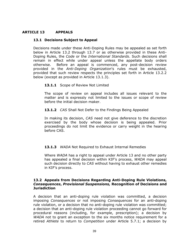# <span id="page-38-0"></span>**ARTICLE 13 APPEALS**

# **13.1 Decisions Subject to Appeal**

Decisions made under these Anti-Doping Rules may be appealed as set forth below in Article 13.2 through 13.7 or as otherwise provided in these Anti-Doping Rules, the *Code* or the *International Standards*. Such decisions shall remain in effect while under appeal unless the appellate body orders otherwise. Before an appeal is commenced, any post-decision review provided in the *Anti-Doping Organization*'s rules must be exhausted, provided that such review respects the principles set forth in Article 13.2.2 below (except as provided in Article 13.1.3).

#### 13.1.1 Scope of Review Not Limited

The scope of review on appeal includes all issues relevant to the matter and is expressly not limited to the issues or scope of review before the initial decision maker.

#### **13.1.2** *CAS* Shall Not Defer to the Findings Being Appealed

In making its decision, *CAS* need not give deference to the discretion exercised by the body whose decision is being appealed. Prior proceedings do not limit the evidence or carry weight in the hearing before CAS.

## **13.1.3** *WADA* Not Required to Exhaust Internal Remedies

Where *WADA* has a right to appeal under Article 13 and no other party has appealed a final decision within KIF's process, *WADA* may appeal such decision directly to *CAS* without having to exhaust other remedies in KIF's process.

#### **13.2 Appeals from Decisions Regarding Anti-Doping Rule Violations,**  *Consequences***,** *Provisional Suspensions,* **Recognition of Decisions and Jurisdiction**

A decision that an anti-doping rule violation was committed, a decision imposing *Consequences* or not imposing *Consequences* for an anti-doping rule violation, or a decision that no anti-doping rule violation was committed; a decision that an anti-doping rule violation proceeding cannot go forward for procedural reasons (including, for example, prescription); a decision by *WADA* not to grant an exception to the six months notice requirement for a retired *Athlete* to return to *Competition* under Article 5.7.1; a decision by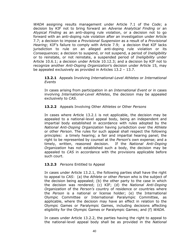*WADA* assigning results management under Article 7.1 of the *Code*; a decision by KIF not to bring forward an *Adverse Analytical Finding* or an *Atypical Finding* as an anti-doping rule violation, or a decision not to go forward with an anti-doping rule violation after an investigation under Article 7.7; a decision to impose a *Provisional Suspension* as a result of a *Provisional Hearing*; KIF's failure to comply with Article 7.9; a decision that KIF lacks jurisdiction to rule on an alleged anti-doping rule violation or its *Consequences*; a decision to suspend, or not suspend, a period of *Ineligibility* or to reinstate, or not reinstate, a suspended period of *Ineligibility* under Article 10.6.1; a decision under Article 10.12.3; and a decision by KIF not to recognize another *Anti-Doping Organization*'s decision under Article 15, may be appealed exclusively as provided in Articles 13.2 – 13.7.

#### **13.2.1** Appeals Involving *International-Level Athletes* or *International Events*

In cases arising from participation in an *International Event* or in cases involving *International-Level Athletes*, the decision may be appealed exclusively to *CAS*.

# **13.2.2** Appeals Involving Other *Athletes* or Other *Persons*

In cases where Article 13.2.1 is not applicable, the decision may be appealed to a national-level appeal body, being an independent and impartial body established in accordance with rules adopted by the *National Anti-Doping Organization* having jurisdiction over the *Athlete* or other *Person*. The rules for such appeal shall respect the following principles: a timely hearing; a fair and impartial hearing panel; the right to be represented by counsel at the *Person*'s own expense; and a timely, written, reasoned decision. If the *National Anti-Doping Organization* has not established such a body, the decision may be appealed to *CAS* in accordance with the provisions applicable before such court.

## **13.2.3** *Persons* Entitled to Appeal

In cases under Article 13.2.1, the following parties shall have the right to appeal to *CAS*: (a) the *Athlete* or other *Person* who is the subject of the decision being appealed; (b) the other party to the case in which the decision was rendered; (c) KIF; (d) the *National Anti-Doping Organization* of the *Person's* country of residence or countries where the *Person* is a national or license holder; (e) the International Olympic Committee or International Paralympic Committee, as applicable, where the decision may have an effect in relation to the Olympic Games or Paralympic Games, including decisions affecting eligibility for the Olympic Games or Paralympic Games; and (f) *WADA*.

In cases under Article 13.2.2, the parties having the right to appeal to the national-level appeal body shall be as provided in the *National*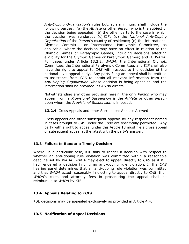*Anti-Doping Organization*'s rules but, at a minimum, shall include the following parties: (a) the *Athlete* or other *Person* who is the subject of the decision being appealed; (b) the other party to the case in which the decision was rendered; (c) KIF; (d) the *National Anti-Doping Organization* of the *Person*'s country of residence; (e) the International Olympic Committee or International Paralympic Committee, as applicable, where the decision may have an effect in relation to the Olympic Games or Paralympic Games, including decisions affecting eligibility for the Olympic Games or Paralympic Games; and (f) *WADA*. For cases under Article 13.2.2, *WADA*, the International Olympic Committee, the International Paralympic Committee, and KIF shall also have the right to appeal to *CAS* with respect to the decision of the national-level appeal body. Any party filing an appeal shall be entitled to assistance from *CAS* to obtain all relevant information from the *Anti-Doping Organization* whose decision is being appealed and the information shall be provided if *CAS* so directs.

Notwithstanding any other provision herein, the only *Person* who may appeal from a *Provisional Suspension* is the *Athlete* or other *Person* upon whom the *Provisional Suspension* is imposed.

**13.2.4** Cross Appeals and other Subsequent Appeals Allowed

Cross appeals and other subsequent appeals by any respondent named in cases brought to *CAS* under the *Code* are specifically permitted. Any party with a right to appeal under this Article 13 must file a cross appeal or subsequent appeal at the latest with the party's answer.

## **13.3 Failure to Render a Timely Decision**

Where, in a particular case, KIF fails to render a decision with respect to whether an anti-doping rule violation was committed within a reasonable deadline set by *WADA*, *WADA* may elect to appeal directly to *CAS* as if KIF had rendered a decision finding no anti-doping rule violation. If the *CAS* hearing panel determines that an anti-doping rule violation was committed and that *WADA* acted reasonably in electing to appeal directly to *CAS*, then *WADA*'s costs and attorney fees in prosecuting the appeal shall be reimbursed to *WADA* by KIF.

## **13.4 Appeals Relating to** *TUEs*

*TUE* decisions may be appealed exclusively as provided in Article 4.4.

## **13.5 Notification of Appeal Decisions**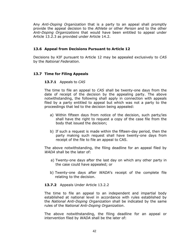Any *Anti-Doping Organization* that is a party to an appeal shall promptly provide the appeal decision to the *Athlete* or other *Person* and to the other *Anti-Doping Organizations* that would have been entitled to appeal under Article 13.2.3 as provided under Article 14.2.

# **13.6 Appeal from Decisions Pursuant to Article 12**

Decisions by KIF pursuant to Article 12 may be appealed exclusively to *CAS* by the *National Federation*.

# **13.7 Time for Filing Appeals**

## **13.7.1** Appeals to *CAS*

The time to file an appeal to *CAS* shall be twenty-one days from the date of receipt of the decision by the appealing party. The above notwithstanding, the following shall apply in connection with appeals filed by a party entitled to appeal but which was not a party to the proceedings that led to the decision being appealed:

- a) Within fifteen days from notice of the decision, such party/ies shall have the right to request a copy of the case file from the body that issued the decision;
- b) If such a request is made within the fifteen-day period, then the party making such request shall have twenty-one days from receipt of the file to file an appeal to CAS.

The above notwithstanding, the filing deadline for an appeal filed by *WADA* shall be the later of:

- a) Twenty-one days after the last day on which any other party in the case could have appealed; or
- b) Twenty-one days after *WADA*'s receipt of the complete file relating to the decision.

## **13.7.2** Appeals Under Article 13.2.2

The time to file an appeal to an independent and impartial body established at national level in accordance with rules established by the *National Anti-Doping Organization* shall be indicated by the same rules of the *National Anti-Doping Organization*.

The above notwithstanding, the filing deadline for an appeal or intervention filed by *WADA* shall be the later of: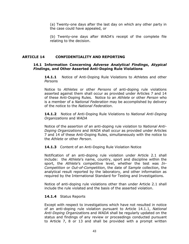(a) Twenty-one days after the last day on which any other party in the case could have appealed, or

(b) Twenty-one days after *WADA*'s receipt of the complete file relating to the decision.

# <span id="page-42-0"></span>**ARTICLE 14 CONFIDENTIALITY AND REPORTING**

#### **14.1 Information Concerning** *Adverse Analytical Findings***,** *Atypical Findings***, and Other Asserted Anti-Doping Rule Violations**

**14.1.1** Notice of Anti-Doping Rule Violations to *Athlete*s and other *Person*s

Notice to *Athletes* or other *Persons* of anti-doping rule violations asserted against them shall occur as provided under Articles 7 and 14 of these Anti-Doping Rules. Notice to an *Athlete* or other *Person* who is a member of a *National Federation* may be accomplished by delivery of the notice to the *National Federation*.

**14.1.2** Notice of Anti-Doping Rule Violations to *National Anti-Doping Organizations* and *WADA*

Notice of the assertion of an anti-doping rule violation to *National Anti-Doping Organizations* and *WADA* shall occur as provided under Articles 7 and 14 of these Anti-Doping Rules, simultaneously with the notice to the *Athlete* or other *Person*.

## **14.1.3** Content of an Anti-Doping Rule Violation Notice

Notification of an anti-doping rule violation under Article 2.1 shall include: the *Athlete*'s name, country, sport and discipline within the sport, the *Athlete*'s competitive level, whether the test was *In-Competition* or *Out-of-Competition*, the date of *Sample* collection, the analytical result reported by the laboratory, and other information as required by the International Standard for Testing and Investigations.

Notice of anti-doping rule violations other than under Article 2.1 shall include the rule violated and the basis of the asserted violation.

## **14.1.4** Status Reports

Except with respect to investigations which have not resulted in notice of an anti-doping rule violation pursuant to Article 14.1.1, *National Anti-Doping Organization*s and *WADA* shall be regularly updated on the status and findings of any review or proceedings conducted pursuant to Article 7, 8 or 13 and shall be provided with a prompt written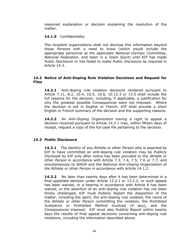reasoned explanation or decision explaining the resolution of the matter.

## **14.1.5** Confidentiality

The recipient organizations shall not disclose this information beyond those *Person*s with a need to know (which would include the appropriate personnel at the applicable *National Olympic Committee*, *National Federation*, and team in a *Team Sport*) until KIF has made *Public Disclosure* or has failed to make *Public Disclosure* as required in Article 14.3.

## **14.2 Notice of Anti-Doping Rule Violation Decisions and Request for Files**

**14.2.1** Anti-doping rule violation decisions rendered pursuant to Article 7.11, 8.2, 10.4, 10.5, 10.6, 10.12.3 or 13.5 shall include the full reasons for the decision, including, if applicable, a justification for why the greatest possible *Consequences* were not imposed. Where the decision is not in English or French, KIF shall provide a short English or French summary of the decision and the supporting reasons.

**14.2.2** An *Anti-Doping Organization* having a right to appeal a decision received pursuant to Article 14.2.1 may, within fifteen days of receipt, request a copy of the full case file pertaining to the decision.

# **14.3** *Public Disclosure*

**14.3.1** The identity of any *Athlete* or other *Person* who is asserted by KIF to have committed an anti-doping rule violation may be *Publicly Disclose*d by KIF only after notice has been provided to the *Athlete* or other *Person* in accordance with Article 7.3, 7.4, 7.5, 7.6 or 7.7, and simultaneously to *WADA* and the *National Anti-Doping* Organization of *the* Athlete or other *Person* in accordance with Article 14.1.2.

**14.3.2** No later than twenty days after it has been determined in a final appellate decision under Article 13.2.1 or 13.2.2, or such appeal has been waived, or a hearing in accordance with Article 8 has been waived, or the assertion of an anti-doping rule violation has not been timely challenged, KIF must *Publicly Report* the disposition of the matter, including the sport, the anti-doping rule violated, the name of the *Athlete* or other *Person* committing the violation, the *Prohibited Substance* or *Prohibited Method* involved (if any), and the *Consequences* imposed. KIF must also *Publicly Report* within twenty days the results of final appeal decisions concerning anti-doping rule violations, including the information described above.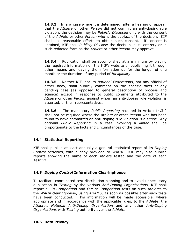**14.3.3** In any case where it is determined, after a hearing or appeal, that the *Athlete* or other *Person* did not commit an anti-doping rule violation, the decision may be *Publicly Disclosed* only with the consent of the *Athlete* or other *Person* who is the subject of the decision. KIF shall use reasonable efforts to obtain such consent. If consent is obtained, KIF shall *Publicly Disclose* the decision in its entirety or in such redacted form as the *Athlete* or other *Person* may approve.

**14.3.4** Publication shall be accomplished at a minimum by placing the required information on the KIF's website or publishing it through other means and leaving the information up for the longer of one month or the duration of any period of *Ineligibility*.

**14.3.5** Neither KIF, nor its *National Federations*, nor any official of either body, shall publicly comment on the specific facts of any pending case (as opposed to general description of process and science) except in response to public comments attributed to the *Athlete* or other *Person* against whom an anti-doping rule violation is asserted, or their representatives.

**14.3.6** The mandatory *Public Reporting* required in Article 14.3.2 shall not be required where the *Athlete* or other *Person* who has been found to have committed an anti-doping rule violation is a *Minor*. Any optional *Public Reporting* in a case involving a *Minor* shall be proportionate to the facts and circumstances of the case.

# **14.4 Statistical Reporting**

KIF shall publish at least annually a general statistical report of its *Doping Control* activities, with a copy provided to *WADA*. KIF may also publish reports showing the name of each *Athlete* tested and the date of each *Testing*.

## **14.5** *Doping Control* **Information Clearinghouse**

To facilitate coordinated test distribution planning and to avoid unnecessary duplication in *Testing* by the various *Anti-Doping Organization*s, KIF shall report all *In-Competition* and *Out-of-Competition* tests on such *Athlete*s to the *WADA* clearinghouse, using *ADAMS*, as soon as possible after such tests have been conducted. This information will be made accessible, where appropriate and in accordance with the applicable rules, to the *Athlete*, the *Athlete*'s *National Anti-Doping Organization* and any other *Anti-Doping Organizations* with *Testing* authority over the *Athlete*.

## **14.6 Data Privacy**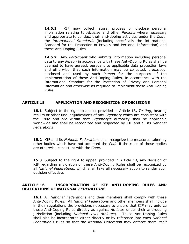**14.6.1** KIF may collect, store, process or disclose personal information relating to *Athlete*s and other *Persons* where necessary and appropriate to conduct their anti-doping activities under the *Code*, the *International Standards* (including specifically the International Standard for the Protection of Privacy and Personal Information) and these Anti-Doping Rules.

**14.6.2** Any *Participant* who submits information including personal data to any *Person* in accordance with these Anti-Doping Rules shall be deemed to have agreed, pursuant to applicable data protection laws and otherwise, that such information may be collected, processed, disclosed and used by such *Person* for the purposes of the implementation of these Anti-Doping Rules, in accordance with the International Standard for the Protection of Privacy and Personal Information and otherwise as required to implement these Anti-Doping Rules.

## <span id="page-45-0"></span>**ARTICLE 15 APPLICATION AND RECOGNITION OF DECISIONS**

**15.1** Subject to the right to appeal provided in Article 13, *Testing*, hearing results or other final adjudications of any *Signatory* which are consistent with the *Code* and are within that *Signatory's* authority shall be applicable worldwide and shall be recognized and respected by KIF and all its *National Federations*.

**15.2** KIF and its *National Federations* shall recognize the measures taken by other bodies which have not accepted the *Code* if the rules of those bodies are otherwise consistent with the *Code*.

**15.3** Subject to the right to appeal provided in Article 13, any decision of KIF regarding a violation of these Anti-Doping Rules shall be recognized by all *National Federation*s, which shall take all necessary action to render such decision effective.

## <span id="page-45-1"></span>**ARTICLE 16 INCORPORATION OF KIF ANTI-DOPING RULES AND OBLIGATIONS OF** *NATIONAL FEDERATIONS*

**16.1** All *National Federation*s and their members shall comply with these Anti-Doping Rules. All *National Federation*s and other members shall include in their regulations the provisions necessary to ensure that KIF may enforce these Anti-Doping Rules directly as against *Athletes* under their anti-doping jurisdiction (including *National-Level Athletes*). These Anti-Doping Rules shall also be incorporated either directly or by reference into each *National Federation's* rules so that the *National Federation* may enforce them itself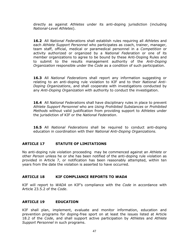directly as against *Athletes* under its anti-doping jurisdiction (including *National-Level Athletes*).

**16.2** All *National Federation*s shall establish rules requiring all *Athlete*s and each *Athlete Support Personnel* who participates as coach, trainer, manager, team staff, official, medical or paramedical personnel in a *Competition* or activity authorized or organized by a *National Federation* or one of its member organizations to agree to be bound by these Anti-Doping Rules and to submit to the results management authority of the *Anti-Doping Organization* responsible under the *Code* as a condition of such participation.

**16.3** All *National Federation*s shall report any information suggesting or relating to an anti-doping rule violation to KIF and to their *National Anti-Doping Organizations*, and shall cooperate with investigations conducted by any *Anti-Doping Organization* with authority to conduct the investigation.

**16.4** All *National Federation*s shall have disciplinary rules in place to prevent *Athlete Support Personnel* who are *Using Prohibited Substances* or *Prohibited Methods* without valid justification from providing support to *Athletes* under the jurisdiction of KIF or the *National Federation*.

**16.5** All *National Federations* shall be required to conduct anti-doping education in coordination with their *National Anti-Doping Organizations.*

# <span id="page-46-0"></span>**ARTICLE 17 STATUTE OF LIMITATIONS**

No anti-doping rule violation proceeding may be commenced against an *Athlete* or other *Person* unless he or she has been notified of the anti-doping rule violation as provided in Article 7, or notification has been reasonably attempted, within ten years from the date the violation is asserted to have occurred.

## <span id="page-46-1"></span>**ARTICLE 18 KIF COMPLIANCE REPORTS TO** *WADA*

KIF will report to *WADA* on KIF's compliance with the *Code* in accordance with Article 23.5.2 of the *Code*.

## <span id="page-46-2"></span>**ARTICLE 19 EDUCATION**

KIF shall plan, implement, evaluate and monitor information, education and prevention programs for doping-free sport on at least the issues listed at Article 18.2 of the *Code*, and shall support active participation by *Athlete*s and *Athlete Support Personnel* in such programs.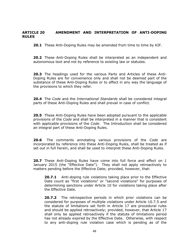#### <span id="page-47-0"></span>**ARTICLE 20 AMENDMENT AND INTERPRETATION OF ANTI-DOPING RULES**

**20.1** These Anti-Doping Rules may be amended from time to time by KIF.

**20.2** These Anti-Doping Rules shall be interpreted as an independent and autonomous text and not by reference to existing law or statutes.

**20.3** The headings used for the various Parts and Articles of these Anti-Doping Rules are for convenience only and shall not be deemed part of the substance of these Anti-Doping Rules or to affect in any way the language of the provisions to which they refer.

**20.4** The *Code* and the *International Standards* shall be considered integral parts of these Anti-Doping Rules and shall prevail in case of conflict.

**20.5** These Anti-Doping Rules have been adopted pursuant to the applicable provisions of the *Code* and shall be interpreted in a manner that is consistent with applicable provisions of the *Code*. The Introduction shall be considered an integral part of these Anti-Doping Rules.

**20.6** The comments annotating various provisions of the *Code* are incorporated by reference into these Anti-Doping Rules, shall be treated as if set out in full herein, and shall be used to interpret these Anti-Doping Rules.

**20.7** These Anti-Doping Rules have come into full force and effect on 1 January 2015 (the "Effective Date"). They shall not apply retroactively to matters pending before the Effective Date; provided, however, that:

**20.7.1** Anti-doping rule violations taking place prior to the Effective Date count as "first violations" or "second violations" for purposes of determining sanctions under Article 10 for violations taking place after the Effective Date.

**20.7.2** The retrospective periods in which prior violations can be considered for purposes of multiple violations under Article 10.7.5 and the statute of limitations set forth in Article 17 are procedural rules and should be applied retroactively; provided, however, that Article 17 shall only be applied retroactively if the statute of limitations period has not already expired by the Effective Date. Otherwise, with respect to any anti-doping rule violation case which is pending as of the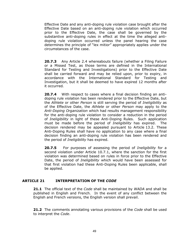Effective Date and any anti-doping rule violation case brought after the Effective Date based on an anti-doping rule violation which occurred prior to the Effective Date, the case shall be governed by the substantive anti-doping rules in effect at the time the alleged antidoping rule violation occurred unless the panel hearing the case determines the principle of "lex mitior" appropriately applies under the circumstances of the case.

**20.7.3** Any Article 2.4 whereabouts failure (whether a Filing Failure or a Missed Test, as those terms are defined in the International Standard for Testing and Investigations) prior to the Effective Date shall be carried forward and may be relied upon, prior to expiry, in accordance with the International Standard for Testing and Investigation, but it shall be deemed to have expired 12 months after it occurred*.* 

**20.7.4** With respect to cases where a final decision finding an antidoping rule violation has been rendered prior to the Effective Date, but the *Athlete* or other *Person* is still serving the period of *Ineligibility* as of the Effective Date, the *Athlete* or other *Person* may apply to the *Anti-Doping Organization* which had results management responsibility for the anti-doping rule violation to consider a reduction in the period of *Ineligibility* in light of these Anti-Doping Rules. Such application must be made before the period of *Ineligibility* has expired. The decision rendered may be appealed pursuant to Article 13.2. These Anti-Doping Rules shall have no application to any case where a final decision finding an anti-doping rule violation has been rendered and the period of *Ineligibility* has expired.

**20.7.5** For purposes of assessing the period of *Ineligibility* for a second violation under Article 10.7.1, where the sanction for the first violation was determined based on rules in force prior to the Effective Date, the period of *Ineligibility* which would have been assessed for that first violation had these Anti-Doping Rules been applicable, shall be applied.

# <span id="page-48-0"></span>**ARTICLE 21 INTERPRETATION OF THE** *CODE*

**21.1** The official text of the *Code* shall be maintained by *WADA* and shall be published in English and French. In the event of any conflict between the English and French versions, the English version shall prevail.

**21.2** The comments annotating various provisions of the *Code* shall be used to interpret the *Code*.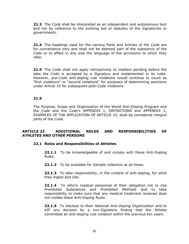**21.3** The *Code* shall be interpreted as an independent and autonomous text and not by reference to the existing law or statutes of the *Signatories* or governments.

**21.4** The headings used for the various Parts and Articles of the *Code* are for convenience only and shall not be deemed part of the substance of the *Code* or to affect in any way the language of the provisions to which they refer.

**21.5** The *Code* shall not apply retroactively to matters pending before the date the *Code* is accepted by a *Signatory* and implemented in its rules. However, pre-*Code* anti-doping rule violations would continue to count as "first violations" or "second violations" for purposes of determining sanctions under Article 10 for subsequent post-*Code* violations.

# **21.6**

The Purpose, Scope and Organization of the World Anti-Doping Program and the *Code* and the *Code's* APPENDIX 1, DEFINITIONS and APPENDIX 2, EXAMPLES OF THE APPLICATION OF ARTICLE 10, shall be considered integral parts of the *Code*.

# <span id="page-49-0"></span>**ARTICLE 22 ADDITIONAL ROLES AND RESPONSIBILITIES OF**  *ATHLETES* **AND OTHER** *PERSONS*

## **22.1 Roles and Responsibilities of** *Athlete***s**

**22.1.1** To be knowledgeable of and comply with these Anti-Doping Rules.

**22.1.2** To be available for *Sample* collection at all times.

**22.1.3** To take responsibility, in the context of anti-doping, for what they ingest and *Use*.

**22.1.4** To inform medical personnel of their obligation not to *Use Prohibited Substance*s and *Prohibited Method*s and to take responsibility to make sure that any medical treatment received does not violate these Anti-Doping Rules.

**22.1.5** To disclose to their *National Anti-Doping Organization* and to KIF any decision by a non-*Signatory* finding that the *Athlete* committed an anti-doping rule violation within the previous ten years.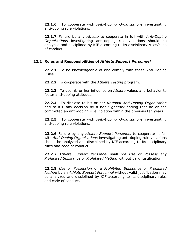**22.1.6** To cooperate with *Anti-Doping Organizations* investigating anti-doping rule violations.

**22.1.7** Failure by any *Athlete* to cooperate in full with *Anti-Doping Organizations* investigating anti-doping rule violations should be analyzed and disciplined by KIF according to its disciplinary rules/code of conduct.

## **22.2 Roles and Responsibilities of** *Athlete Support Personnel*

**22.2.1** To be knowledgeable of and comply with these Anti-Doping Rules.

**22.2.2** To cooperate with the *Athlete Testing* program.

**22.2.3** To use his or her influence on *Athlete* values and behavior to foster anti-doping attitudes.

**22.2.4** To disclose to his or her *National Anti-Doping Organization* and to KIF any decision by a non-*Signatory* finding that he or she committed an anti-doping rule violation within the previous ten years.

**22.2.5** To cooperate with *Anti-Doping Organizations* investigating anti-doping rule violations.

**22.2.6** Failure by any *Athlete Support Personnel* to cooperate in full with *Anti-Doping Organizations* investigating anti-doping rule violations should be analyzed and disciplined by KIF according to its disciplinary rules and code of conduct

**22.2.7** *Athlete Support Personnel* shall not *Use* or *Possess* any *Prohibited Substance* or *Prohibited Method* without valid justification.

**22.2.8** *Use* or *Possession* of a *Prohibited Substance* or *Prohibited Method* by an *Athlete Support Personnel* without valid justification may be analyzed and disciplined by KIF according to its disciplinary rules and code of conduct.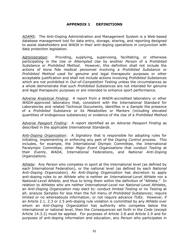#### **APPENDIX 1 DEFINITIONS**

<span id="page-51-0"></span>*ADAMS*:The Anti-Doping Administration and Management System is a Web-based database management tool for data entry, storage, sharing, and reporting designed to assist stakeholders and *WADA* in their anti-doping operations in conjunction with data protection legislation.

*Administration*: Providing, supplying, supervising, facilitating, or otherwise participating in the *Use* or *Attempted Use* by another *Person* of a *Prohibited Substance* or *Prohibited Method*. However, this definition shall not include the actions of bona fide medical personnel involving a *Prohibited Substance* or *Prohibited Method* used for genuine and legal therapeutic purposes or other acceptable justification and shall not include actions involving *Prohibited Substances* which are not prohibited in *Out-of-Competition Testing* unless the circumstances as a whole demonstrate that such *Prohibited Substances* are not intended for genuine and legal therapeutic purposes or are intended to enhance sport performance.

*Adverse Analytical Finding*: A report from a *WADA*-accredited laboratory or other *WADA*-approved laboratory that, consistent with the International Standard for Laboratories and related Technical Documents, identifies in a *Sample* the presence of a *Prohibited Substance* or its *Metabolites* or *Markers* (including elevated quantities of endogenous substances) or evidence of the *Use* of a *Prohibited Method*.

*Adverse Passport Finding*: A report identified as an *Adverse Passport Finding* as described in the applicable *International Standards*.

*Anti-Doping Organization*: A *Signatory* that is responsible for adopting rules for initiating, implementing or enforcing any part of the *Doping Control* process. This includes, for example, the International Olympic Committee, the International Paralympic Committee, other *Major Event Organizations* that conduct *Testing* at their *Events*, *WADA*, International Federations, and *National Anti-Doping Organizations.*

*Athlete*: Any *Person* who competes in sport at the international level (as defined by each International Federation), or the national level (as defined by each *National Anti-Doping Organization*). An *Anti-Doping Organization* has discretion to apply anti-doping rules to an *Athlete* who is neither an *International-Level Athlete* nor a *National-Level Athlete*, and thus to bring them within the definition of "Athlete." In relation to *Athletes* who are neither *International*-*Level* nor *National-Level Athletes*, an *Anti-Doping Organization* may elect to: conduct limited *Testing* or no *Testing* at all; analyze *Samples* for less than the full menu of *Prohibited Substances*; require limited or no whereabouts information; or not require advance *TUEs*. However, if an Article 2.1, 2.3 or 2.5 anti-doping rule violation is committed by any *Athlete* over whom an *Anti-Doping Organization* has authority who competes below the international or national level, then the *Consequences* set forth in the *Code* (except Article 14.3.2) must be applied. For purposes of Article 2.8 and Article 2.9 and for purposes of anti-doping information and education, any *Person* who participates in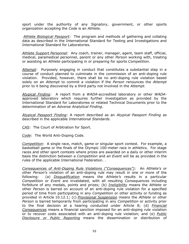sport under the authority of any *Signatory*, government, or other sports organization accepting the *Code* is an *Athlete*.

*Athlete Biological Passport*: The program and methods of gathering and collating data as described in the International Standard for Testing and Investigations and International Standard for Laboratories.

*Athlete Support Personnel*: Any coach, trainer, manager, agent, team staff, official, medical, paramedical personnel, parent or any other *Person* working with, treating or assisting an *Athlete* participating in or preparing for sports *Competition*.

*Attempt*: Purposely engaging in conduct that constitutes a substantial step in a course of conduct planned to culminate in the commission of an anti-doping rule violation. Provided, however, there shall be no anti-doping rule violation based solely on an *Attempt* to commit a violation if the *Person* renounces the *Attempt* prior to it being discovered by a third party not involved in the *Attempt*.

*Atypical Finding*: A report from a *WADA*-accredited laboratory or other *WADA*approved laboratory which requires further investigation as provided by the International Standard for Laboratories or related Technical Documents prior to the determination of an *Adverse Analytical Finding*.

*Atypical Passport Finding*: A report described as an *Atypical Passport Finding* as described in the applicable *International Standards*.

*CAS*: The Court of Arbitration for Sport.

*Code*: The World Anti-Doping Code.

*Competition*: A single race, match, game or singular sport contest. For example, a basketball game or the finals of the Olympic 100-meter race in athletics. For stage races and other sport contests where prizes are awarded on a daily or other interim basis the distinction between a *Competition* and an *Event* will be as provided in the rules of the applicable International Federation. .

*Consequences of Anti-Doping Rule Violations ("Consequences")*: An *Athlete's* or other *Person's* violation of an anti-doping rule may result in one or more of the following: (a) *Disqualification* means the *Athlete's* results in a particular *Competition* or *Event* are invalidated, with all resulting *Consequences* including forfeiture of any medals, points and prizes; (b) *Ineligibility* means the *Athlete* or other *Person* is barred on account of an anti-doping rule violation for a specified period of time from participating in any *Competition* or other activity or funding as provided in Article 10.12.1; (c) *Provisional Suspension* means the *Athlete* or other *Person* is barred temporarily from participating in any *Competition* or activity prior to the final decision at a hearing conducted under Article 8; (d) *Financial Consequences* means a financial sanction imposed for an anti-doping rule violation or to recover costs associated with an anti-doping rule violation; and (e) *Public Disclosure or Public Reporting* means the dissemination or distribution of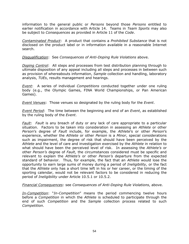information to the general public or *Persons* beyond those *Persons* entitled to earlier notification in accordance with Article 14. Teams in *Team Sports* may also be subject to *Consequences* as provided in Article 11 of the *Code*.

*Contaminated Product*:A product that contains a *Prohibited Substance* that is not disclosed on the product label or in information available in a reasonable Internet search.

*Disqualification*: See *Consequences of Anti-Doping Rule Violations* above.

*Doping Control*: All steps and processes from test distribution planning through to ultimate disposition of any appeal including all steps and processes in between such as provision of whereabouts information, *Sample* collection and handling, laboratory analysis, *TUEs*, results management and hearings.

*Event*: A series of individual *Competitions* conducted together under one ruling body (e.g., the Olympic Games, FINA World Championships, or Pan American Games).

*Event Venues*: Those venues so designated by the ruling body for the *Event*.

*Event Period*: The time between the beginning and end of an *Event*, as established by the ruling body of the *Event*.

*Fault*: *Fault* is any breach of duty or any lack of care appropriate to a particular situation. Factors to be taken into consideration in assessing an *Athlete* or other *Person*'s degree of *Fault* include, for example, the *Athlete*'s or other *Person*'s experience, whether the *Athlete* or other *Person* is a *Minor*, special considerations such as impairment, the degree of risk that should have been perceived by the *Athlete* and the level of care and investigation exercised by the *Athlete* in relation to what should have been the perceived level of risk. In assessing the *Athlete's* or other *Person's* degree of *Fault*, the circumstances considered must be specific and relevant to explain the *Athlete's* or other *Person's* departure from the expected standard of behavior. Thus, for example, the fact that an *Athlete* would lose the opportunity to earn large sums of money during a period of *Ineligibility,* or the fact that the *Athlete* only has a short time left in his or her career, or the timing of the sporting calendar, would not be relevant factors to be considered in reducing the period of *Ineligibility* under Article 10.5.1 or 10.5.2.

*Financial Consequences*: see *Consequences of Anti-Doping Rule Violations*, above.

*In-Competition*: "*In-Competition*" means the period commencing twelve hours before a *Competition* in which the *Athlete* is scheduled to participate through the end of such *Competition* and the *Sample* collection process related to such *Competition*.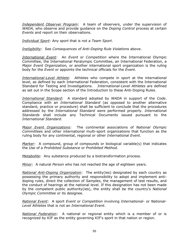*Independent Observer Program*: A team of observers, under the supervision of *WADA*, who observe and provide guidance on the *Doping Control* process at certain *Events* and report on their observations.

*Individual Sport*: Any sport that is not a *Team Sport.*

*Ineligibility*: See *Consequences of Anti-Doping Rule Violations* above.

*International Event*:An *Event* or *Competition* where the International Olympic Committee, the International Paralympic Committee, an International Federation, a *Major Event Organization,* or another international sport organization is the ruling body for the *Event* or appoints the technical officials for the *Event.*

*International-Level Athlete*: *Athletes* who compete in sport at the international level, as defined by each International Federation, consistent with the International Standard for Testing and Investigations. *International-Level Athletes* are defined as set out in the Scope section of the Introduction to these Anti-Doping Rules.

*International Standard*: A standard adopted by *WADA* in support of the *Code*. Compliance with an *International Standard* (as opposed to another alternative standard, practice or procedure) shall be sufficient to conclude that the procedures addressed by the *International Standard* were performed properly. *Internationa*l *Standards* shall include any Technical Documents issued pursuant to the *International Standard*.

*Major Event Organizations*: The continental associations of *National Olympic Committee*s and other international multi-sport organizations that function as the ruling body for any continental, regional or other *International Event*.

*Marker*: A compound, group of compounds or biological variable(s) that indicates the *Use* of a *Prohibited Substance* or *Prohibited Method.*

*Metabolite*: Any substance produced by a biotransformation process.

*Minor*: A natural *Person* who has not reached the age of eighteen years.

*National Anti-Doping Organization*: The entity(ies) designated by each country as possessing the primary authority and responsibility to adopt and implement antidoping rules, direct the collection of *Samples*, the management of test results, and the conduct of hearings at the national level. If this designation has not been made by the competent public authority(ies), the entity shall be the country's *National Olympic Committee* or its designee.

*National Event*: A sport *Event* or *Competition* involving *International-* or *National-Level Athletes* that is not an *International Event*.

*National Federation*: A national or regional entity which is a member of or is recognized by KIF as the entity governing KIF's sport in that nation or region.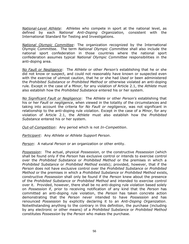*National-Level Athlete*: *Athletes* who compete in sport at the national level, as defined by each *National Anti-Doping Organization,* consistent with the International Standard for Testing and Investigations.

*National Olympic Committee*: The organization recognized by the International Olympic Committee. The term *National Olympic Committee* shall also include the national sport confederation in those countries where the national sport confederation assumes typical *National Olympic Committee* responsibilities in the anti-doping area.

*No Fault or Negligence*: The *Athlete* or other *Person's* establishing that he or she did not know or suspect, and could not reasonably have known or suspected even with the exercise of utmost caution, that he or she had *Used* or been administered the *Prohibited Substance* or *Prohibited Method* or otherwise violated an anti-doping rule*.* Except in the case of a *Minor*, for any violation of Article 2.1, the *Athlete* must also establish how the *Prohibited Substance* entered his or her system.

*No Significant Fault or Negligence*: The *Athlete* or other *Person's* establishing that his or her *Fault* or *negligence*, when viewed in the totality of the circumstances and taking into account the criteria for *No Fault or negligence*, was not significant in relationship to the anti-doping rule violation. Except in the case of a *Minor*, for any violation of Article 2.1, the *Athlete* must also establish how the *Prohibited Substance* entered his or her system.

*Out-of-Competition*: Any period which is not *In-Competition*.

*Participant*: Any *Athlete* or *Athlete Support Person*.

*Person*: A natural *Person* or an organization or other entity.

*Possession*: The actual, physical *Possession*, or the constructive *Possession* (which shall be found only if the *Person* has exclusive control or intends to exercise control over the *Prohibited Substance* or *Prohibited Method* or the premises in which a *Prohibited Substance* or *Prohibited Method* exists); provided, however, that if the *Person* does not have exclusive control over the *Prohibited Substance* or *Prohibited Method* or the premises in which a *Prohibited Substance* or *Prohibited Method* exists, constructive *Possession* shall only be found if the *Person* knew about the presence of the *Prohibited Substance* or *Prohibited Method* and intended to exercise control over it. Provided, however, there shall be no anti-doping rule violation based solely on *Possession* if, prior to receiving notification of any kind that the *Person* has committed an anti-doping rule violation, the *Person* has taken concrete action demonstrating that the *Person* never intended to have *Possession* and has renounced *Possession* by explicitly declaring it to an *Anti-Doping Organization*. Notwithstanding anything to the contrary in this definition, the purchase (including by any electronic or other means) of a *Prohibited Substance* or *Prohibited Method* constitutes *Possession* by the *Person* who makes the purchase.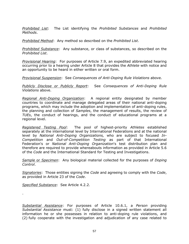*Prohibited List*: The List identifying the *Prohibited Substances* and *Prohibited Methods*.

*Prohibited Method*: Any method so described on the *Prohibited List*.

*Prohibited Substance*: Any substance, or class of substances, so described on the *Prohibited List*.

*Provisional Hearing*: For purposes of Article 7.9, an expedited abbreviated hearing occurring prior to a hearing under Article 8 that provides the *Athlete* with notice and an opportunity to be heard in either written or oral form.

*Provisional Suspension*: See *Consequences of Anti-Doping Rule Violations* above.

*Publicly Disclose or Publicly Report*: See *Consequences of Anti-Doping Rule Violations* above.

*Regional Anti-Doping Organization*:A regional entity designated by member countries to coordinate and manage delegated areas of their national anti-doping programs, which may include the adoption and implementation of anti-doping rules, the planning and collection of *Samples*, the management of results, the review of *TUEs*, the conduct of hearings, and the conduct of educational programs at a regional level.

*Registered Testing Pool*: The pool of highest-priority *Athletes* established separately at the international level by International Federations and at the national level by *National Anti-Doping Organizations,* who are subject to focused *In-Competition* and *Out-of-Competition Testing* as part of that International Federation's or *National Anti-Doping Organization*'s test distribution plan and therefore are required to provide whereabouts information as provided in Article 5.6 of the *Code* and the International Standard for Testing and Investigations.

*Sample* or *Specimen*: Any biological material collected for the purposes of *Doping Control*.

*Signatories*: Those entities signing the *Code* and agreeing to comply with the *Code*, as provided in Article 23 of the *Code*.

*Specified Substance*:See Article 4.2.2.

.

*Substantial Assistance*: For purposes of Article 10.6.1, a *Person* providing *Substantial Assistance* must: (1) fully disclose in a signed written statement all information he or she possesses in relation to anti-doping rule violations, and (2) fully cooperate with the investigation and adjudication of any case related to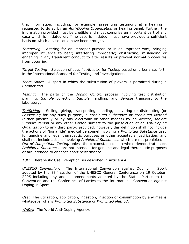that information, including, for example, presenting testimony at a hearing if requested to do so by an *Anti-Doping Organization* or hearing panel. Further, the information provided must be credible and must comprise an important part of any case which is initiated or, if no case is initiated, must have provided a sufficient basis on which a case could have been brought.

*Tampering*:Altering for an improper purpose or in an improper way; bringing improper influence to bear; interfering improperly; obstructing, misleading or engaging in any fraudulent conduct to alter results or prevent normal procedures from occurring.

*Target Testing*: Selection of specific *Athletes* for *Testing* based on criteria set forth in the International Standard for Testing and Investigations.

*Team Sport*: A sport in which the substitution of players is permitted during a *Competition*.

*Testing*: The parts of the *Doping Control* process involving test distribution planning, *Sample* collection, *Sample* handling, and *Sample* transport to the laboratory.

*Trafficking*: Selling, giving, transporting, sending, delivering or distributing (or *Possessing* for any such purpose) a *Prohibited Substance* or *Prohibited Method* (either physically or by any electronic or other means) by an *Athlete*, *Athlete Support Person* or any other *Person* subject to the jurisdiction of an *Anti-Doping Organization* to any third party; provided, however, this definition shall not include the actions of "bona fide" medical personnel involving a *Prohibited Substance* used for genuine and legal therapeutic purposes or other acceptable justification, and shall not include actions involving *Prohibited Substances* which are not prohibited in *Out-of-Competition Testing* unless the circumstances as a whole demonstrate such *Prohibited Substances* are not intended for genuine and legal therapeutic purposes or are intended to enhance sport performance.

*TUE*:Therapeutic Use Exemption, as described in Article 4.4.

*UNESCO Convention*: The International Convention against Doping in Sport adopted by the  $33<sup>rd</sup>$  session of the UNESCO General Conference on 19 October, 2005 including any and all amendments adopted by the States Parties to the Convention and the Conference of Parties to the International Convention against Doping in Sport

*Use*: The utilization, application, ingestion, injection or consumption by any means whatsoever of any *Prohibited Substance* or *Prohibited Method*.

*WADA*: The World Anti-Doping Agency.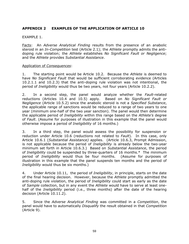# <span id="page-58-0"></span>**APPENDIX 2 EXAMPLES OF THE APPLICATION OF ARTICLE 10**

#### EXAMPLE 1.

Facts: An *Adverse Analytical Finding* results from the presence of an anabolic steroid in an *In-Competition* test (Article 2.1); the *Athlete* promptly admits the antidoping rule violation; the *Athlete* establishes *No Significant Fault or Negligence*; and the *Athlete* provides *Substantial Assistance*.

#### Application of *Consequences*:

1. The starting point would be Article 10.2. Because the *Athlete* is deemed to have *No Significant Fault* that would be sufficient corroborating evidence (Articles 10.2.1.1 and 10.2.3) that the anti-doping rule violation was not intentional, the period of *Ineligibility* would thus be two years, not four years (Article 10.2.2).

2. In a second step, the panel would analyze whether the *Fault*-related reductions (Articles 10.4 and 10.5) apply. Based on *No Significant Fault or Negligence* (Article 10.5.2) since the anabolic steroid is not a *Specified Substance*, the applicable range of sanctions would be reduced to a range of two years to one year (minimum one-half of the two year sanction). The panel would then determine the applicable period of *Ineligibility* within this range based on the *Athlete's* degree of *Fault*. (Assume for purposes of illustration in this example that the panel would otherwise impose a period of *Ineligibility* of 16 months.)

3. In a third step, the panel would assess the possibility for suspension or reduction under Article 10.6 (reductions not related to *Fault*). In this case, only Article 10.6.1 (*Substantial Assistance)* applies. (Article 10.6.3, Prompt Admission, is not applicable because the period of *Ineligibility* is already below the two-year minimum set forth in Article 10.6.3.) Based on *Substantial Assistance*, the period of *Ineligibility* could be suspended by three-quarters of 16 months.\* The minimum period of *Ineligibility* would thus be four months. (Assume for purposes of illustration in this example that the panel suspends ten months and the period of *Ineligibility* would thus be six months.)

4. Under Article 10.11, the period of *Ineligibility*, in principle, starts on the date of the final hearing decision. However, because the *Athlete* promptly admitted the anti-doping rule violation, the period of *Ineligibility* could start as early as the date of *Sample* collection, but in any event the *Athlete* would have to serve at least onehalf of the *Ineligibility* period (i.e., three months) after the date of the hearing decision (Article 10.11.2).

5. Since the *Adverse Analytical Finding* was committed in a *Competition*, the panel would have to automatically *Disqualify* the result obtained in that *Competition* (Article 9).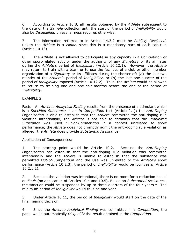6. According to Article 10.8, all results obtained by the *Athlete* subsequent to the date of the *Sample* collection until the start of the period of *Ineligibility* would also be *Disqualified* unless fairness requires otherwise.

7. The information referred to in Article 14.3.2 must be *Publicly Disclosed*, unless the *Athlete* is a *Minor*, since this is a mandatory part of each sanction (Article 10.13).

8. The *Athlete* is not allowed to participate in any capacity in a *Competition* or other sport-related activity under the authority of any *Signatory* or its affiliates during the *Athlete's* period of *Ineligibility* (Article 10.12.1). However, the *Athlete* may return to train with a team or to use the facilities of a club or other member organization of a *Signatory* or its affiliates during the shorter of: (a) the last two months of the *Athlete's* period of *Ineligibility*, or (b) the last one-quarter of the period of *Ineligibility* imposed (Article 10.12.2). Thus, the *Athlete* would be allowed to return to training one and one-half months before the end of the period of *Ineligibility*.

## EXAMPLE 2.

Facts: An *Adverse Analytical Finding* results from the presence of a stimulant which is a *Specified Substance* in an *In-Competition* test (Article 2.1); the *Anti-Doping Organization* is able to establish that the *Athlete* committed the anti-doping rule violation intentionally; the *Athlete* is not able to establish that the *Prohibited Substance* was Used *Out-of-Competition* in a context unrelated to sport performance; the *Athlete* does not promptly admit the anti-doping rule violation as alleged; the *Athlete* does provide *Substantial Assistance*.

#### Application of Consequences:

1. The starting point would be Article 10.2. Because the *Anti-Doping Organization* can establish that the anti-doping rule violation was committed intentionally and the *Athlete* is unable to establish that the substance was permitted *Out-of-Competition* and the Use was unrelated to the *Athlete's* sport performance (Article 10.2.3), the period of *Ineligibility* would be four years (Article 10.2.1.2).

2. Because the violation was intentional, there is no room for a reduction based on *Fault* (no application of Articles 10.4 and 10.5). Based on *Substantial Assistance*, the sanction could be suspended by up to three-quarters of the four years.\* The minimum period of *Ineligibility* would thus be one year.

3. Under Article 10.11, the period of *Ineligibility* would start on the date of the final hearing decision.

4. Since the *Adverse Analytical Finding* was committed in a *Competition*, the panel would automatically *Disqualify* the result obtained in the *Competition*.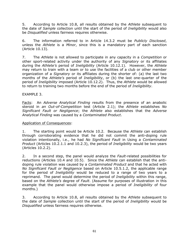5. According to Article 10.8, all results obtained by the *Athlete* subsequent to the date of *Sample* collection until the start of the period of *Ineligibility* would also be *Disqualified* unless fairness requires otherwise.

6. The information referred to in Article 14.3.2 must be *Publicly Disclosed*, unless the *Athlete* is a *Minor*, since this is a mandatory part of each sanction (Article 10.13).

7. The *Athlete* is not allowed to participate in any capacity in a *Competition* or other sport-related activity under the authority of any *Signatory* or its affiliates during the *Athlete's* period of *Ineligibility* (Article 10.12.1). However, the *Athlete* may return to train with a team or to use the facilities of a club or other member organization of a *Signatory* or its affiliates during the shorter of: (a) the last two months of the *Athlete's* period of *Ineligibility*, or (b) the last one-quarter of the period of *Ineligibility* imposed (Article 10.12.2). Thus, the *Athlete* would be allowed to return to training two months before the end of the period of *Ineligibility*.

#### EXAMPLE 3.

Facts: An *Adverse Analytical Finding* results from the presence of an anabolic steroid in *an Out-of-Competition* test (Article 2.1); the *Athlete* establishes *No Significant Fault or Negligence*; the *Athlete* also establishes that the *Adverse Analytical Finding* was caused by a *Contaminated Product*.

#### Application of Consequences:

1. The starting point would be Article 10.2. Because the *Athlete* can establish through corroborating evidence that he did not commit the anti-doping rule violation intentionally, i.e., he had *No Significant Fault* in Using a *Contaminated Product* (Articles 10.2.1.1 and 10.2.3), the period of *Ineligibility* would be two years (Articles 10.2.2).

2. In a second step, the panel would analyze the *Fault*-related possibilities for reductions (Articles 10.4 and 10.5). Since the *Athlete* can establish that the antidoping rule violation was caused by a *Contaminated Product* and that he acted with *No Significant Fault or Negligence* based on Article 10.5.1.2, the applicable range for the period of *Ineligibility* would be reduced to a range of two years to a reprimand. The panel would determine the period of *Ineligibility* within this range, based on the *Athlete's* degree of *Fault*. (Assume for purposes of illustration in this example that the panel would otherwise impose a period of *Ineligibility* of four months.)

3. According to Article 10.8, all results obtained by the *Athlete* subsequent to the date of *Sample* collection until the start of the period of *Ineligibility* would be *Disqualified* unless fairness requires otherwise.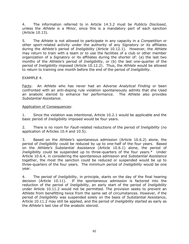4. The information referred to in Article 14.3.2 must be *Publicly Disclosed*, unless the *Athlete* is a *Minor*, since this is a mandatory part of each sanction (Article 10.13).

5. The *Athlete* is not allowed to participate in any capacity in a *Competition* or other sport-related activity under the authority of any *Signatory* or its affiliates during the *Athlete's* period of *Ineligibility* (Article 10.12.1). However, the *Athlete* may return to train with a team or to use the facilities of a club or other member organization of a *Signatory* or its affiliates during the shorter of: (a) the last two months of the *Athlete's* period of *Ineligibility*, or (b) the last one-quarter of the period of *Ineligibility* imposed (Article 10.12.2). Thus, the *Athlete* would be allowed to return to training one month before the end of the period of *Ineligibility*.

## EXAMPLE 4.

Facts: An *Athlete* who has never had an *Adverse Analytical Finding* or been confronted with an anti-doping rule violation spontaneously admits that she Used an anabolic steroid to enhance her performance. The *Athlete* also provides *Substantial Assistance*.

#### Application of Consequences:

1. Since the violation was intentional, Article 10.2.1 would be applicable and the basic period of *Ineligibility* imposed would be four years.

2. There is no room for *Fault*-related reductions of the period of *Ineligibility* (no application of Articles 10.4 and 10.5).

3. Based on the *Athlete's* spontaneous admission (Article 10.6.2) alone, the period of *Ineligibility* could be reduced by up to one-half of the four years. Based on the *Athlete's Substantial Assistance* (Article 10.6.1) alone, the period of *Ineligibility* could be suspended up to three-quarters of the four years.\* Under Article 10.6.4, in considering the spontaneous admission and *Substantial Assistance* together, the most the sanction could be reduced or suspended would be up to three-quarters of the four years. The minimum period of *Ineligibility* would be one year.

4. The period of *Ineligibility*, in principle, starts on the day of the final hearing decision (Article 10.11). If the spontaneous admission is factored into the reduction of the period of *Ineligibility*, an early start of the period of *Ineligibility* under Article 10.11.2 would not be permitted. The provision seeks to prevent an *Athlete* from benefitting twice from the same set of circumstances. However, if the period of *Ineligibility* was suspended solely on the basis of *Substantial Assistance*, Article 10.11.2 may still be applied, and the period of *Ineligibility* started as early as the *Athlete's* last Use of the anabolic steroid.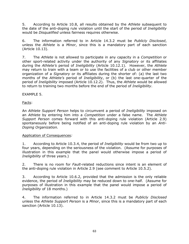5. According to Article 10.8, all results obtained by the *Athlete* subsequent to the date of the anti-doping rule violation until the start of the period of *Ineligibility* would be *Disqualified* unless fairness requires otherwise.

6. The information referred to in Article 14.3.2 must be *Publicly Disclosed*, unless the *Athlete* is a *Minor*, since this is a mandatory part of each sanction (Article 10.13).

7. The *Athlete* is not allowed to participate in any capacity in a *Competition* or other sport-related activity under the authority of any *Signatory* or its affiliates during the *Athlete's* period of *Ineligibility* (Article 10.12.1). However, the *Athlete* may return to train with a team or to use the facilities of a club or other member organization of a *Signatory* or its affiliates during the shorter of: (a) the last two months of the *Athlete's* period of *Ineligibility*, or (b) the last one-quarter of the period of *Ineligibility* imposed (Article 10.12.2). Thus, the *Athlete* would be allowed to return to training two months before the end of the period of *Ineligibility*.

EXAMPLE 5.

Facts:

An *Athlete Support Person* helps to circumvent a period of *Ineligibility* imposed on an *Athlete* by entering him into a *Competition* under a false name. The *Athlete Support Person* comes forward with this anti-doping rule violation (Article 2.9) spontaneously before being notified of an anti-doping rule violation by an *Anti-Doping Organization.*

Application of Consequences*:*

1. According to Article 10.3.4, the period of *Ineligibility* would be from two up to four years, depending on the seriousness of the violation. (Assume for purposes of illustration in this example that the panel would otherwise impose a period of *Ineligibility* of three years.)

2. There is no room for *Fault*-related reductions since intent is an element of the anti-doping rule violation in Article 2.9 (see comment to Article 10.5.2).

3. According to Article 10.6.2, provided that the admission is the only reliable evidence, the period of *Ineligibility* may be reduced down to one-half. (Assume for purposes of illustration in this example that the panel would impose a period of *Ineligibility* of 18 months.)

4. The information referred to in Article 14.3.2 must be *Publicly Disclosed* unless the *Athlete Support Person* is a *Minor*, since this is a mandatory part of each sanction (Article 10.13).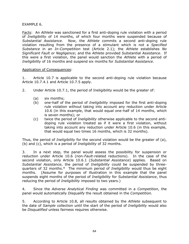## EXAMPLE 6.

Facts: An *Athlete* was sanctioned for a first anti-doping rule violation with a period of *Ineligibility* of 14 months, of which four months were suspended because of *Substantial Assistance*. Now, the *Athlete* commits a second anti-doping rule violation resulting from the presence of a stimulant which is not a *Specified Substance* in an *In-Competition* test (Article 2.1); the *Athlete* establishes *No Significant Fault or Negligence*; and the *Athlete* provided *Substantial Assistance*. If this were a first violation, the panel would sanction the *Athlete* with a period of *Ineligibility* of 16 months and suspend six months for *Substantial Assistance*.

## Application of Consequences:

1. Article 10.7 is applicable to the second anti-doping rule violation because Article 10.7.4.1 and Article 10.7.5 apply.

- 2. Under Article 10.7.1, the period of Ineligibility would be the greater of:
	- (a) six months;
	- (b) one-half of the period of *Ineligibility* imposed for the first anti-doping rule violation without taking into account any reduction under Article 10.6 (in this example, that would equal one-half of 14 months, which is seven months); or
	- (c) twice the period of *Ineligibility* otherwise applicable to the second antidoping rule violation treated as if it were a first violation, without taking into account any reduction under Article 10.6 (in this example, that would equal two times 16 months, which is 32 months).

Thus, the period of *Ineligibility* for the second violation would be the greater of (a), (b) and (c), which is a period of *Ineligibility* of 32 months.

3. In a next step, the panel would assess the possibility for suspension or reduction under Article 10.6 (non-*Fault*-related reductions). In the case of the second violation, only Article 10.6.1 (*Substantial Assistance*) applies. Based on *Substantial Assistance*, the period of *Ineligibility* could be suspended by threequarters of 32 months.\* The minimum period of *Ineligibility* would thus be eight months. (Assume for purposes of illustration in this example that the panel suspends eight months of the period of *Ineligibility* for *Substantial Assistance*, thus reducing the period of *Ineligibility* imposed to two years.)

4. Since the *Adverse Analytical Finding* was committed in a *Competition*, the panel would automatically *Disqualify* the result obtained in the *Competition.*

5. According to Article 10.8, all results obtained by the *Athlete* subsequent to the date of *Sample* collection until the start of the period of *Ineligibility* would also be *Disqualified* unless fairness requires otherwise.